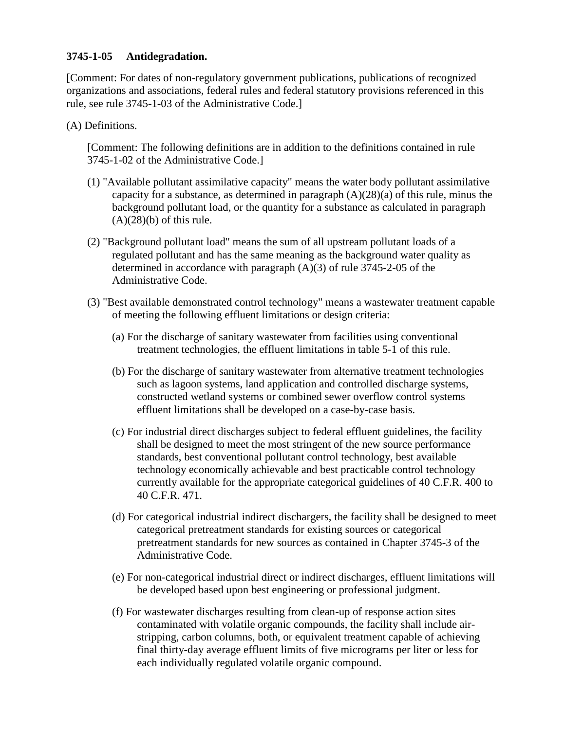## **3745-1-05 Antidegradation.**

[Comment: For dates of non-regulatory government publications, publications of recognized organizations and associations, federal rules and federal statutory provisions referenced in this rule, see rule 3745-1-03 of the Administrative Code.]

(A) Definitions.

[Comment: The following definitions are in addition to the definitions contained in rule 3745-1-02 of the Administrative Code.]

- (1) "Available pollutant assimilative capacity" means the water body pollutant assimilative capacity for a substance, as determined in paragraph  $(A)(28)(a)$  of this rule, minus the background pollutant load, or the quantity for a substance as calculated in paragraph  $(A)(28)(b)$  of this rule.
- (2) "Background pollutant load" means the sum of all upstream pollutant loads of a regulated pollutant and has the same meaning as the background water quality as determined in accordance with paragraph (A)(3) of rule 3745-2-05 of the Administrative Code.
- (3) "Best available demonstrated control technology" means a wastewater treatment capable of meeting the following effluent limitations or design criteria:
	- (a) For the discharge of sanitary wastewater from facilities using conventional treatment technologies, the effluent limitations in table 5-1 of this rule.
	- (b) For the discharge of sanitary wastewater from alternative treatment technologies such as lagoon systems, land application and controlled discharge systems, constructed wetland systems or combined sewer overflow control systems effluent limitations shall be developed on a case-by-case basis.
	- (c) For industrial direct discharges subject to federal effluent guidelines, the facility shall be designed to meet the most stringent of the new source performance standards, best conventional pollutant control technology, best available technology economically achievable and best practicable control technology currently available for the appropriate categorical guidelines of 40 C.F.R. 400 to 40 C.F.R. 471.
	- (d) For categorical industrial indirect dischargers, the facility shall be designed to meet categorical pretreatment standards for existing sources or categorical pretreatment standards for new sources as contained in Chapter 3745-3 of the Administrative Code.
	- (e) For non-categorical industrial direct or indirect discharges, effluent limitations will be developed based upon best engineering or professional judgment.
	- (f) For wastewater discharges resulting from clean-up of response action sites contaminated with volatile organic compounds, the facility shall include airstripping, carbon columns, both, or equivalent treatment capable of achieving final thirty-day average effluent limits of five micrograms per liter or less for each individually regulated volatile organic compound.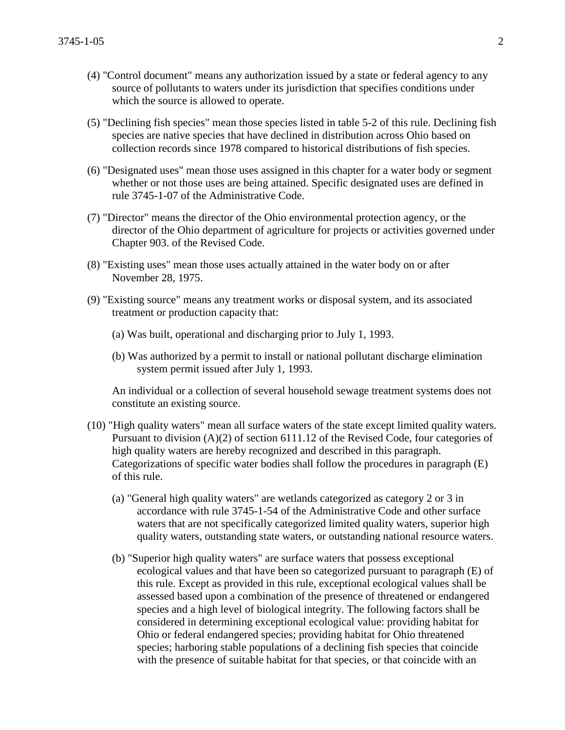- (4) "Control document" means any authorization issued by a state or federal agency to any source of pollutants to waters under its jurisdiction that specifies conditions under which the source is allowed to operate.
- (5) "Declining fish species" mean those species listed in table 5-2 of this rule. Declining fish species are native species that have declined in distribution across Ohio based on collection records since 1978 compared to historical distributions of fish species.
- (6) "Designated uses" mean those uses assigned in this chapter for a water body or segment whether or not those uses are being attained. Specific designated uses are defined in rule 3745-1-07 of the Administrative Code.
- (7) "Director" means the director of the Ohio environmental protection agency, or the director of the Ohio department of agriculture for projects or activities governed under Chapter 903. of the Revised Code.
- (8) "Existing uses" mean those uses actually attained in the water body on or after November 28, 1975.
- (9) "Existing source" means any treatment works or disposal system, and its associated treatment or production capacity that:
	- (a) Was built, operational and discharging prior to July 1, 1993.
	- (b) Was authorized by a permit to install or national pollutant discharge elimination system permit issued after July 1, 1993.

An individual or a collection of several household sewage treatment systems does not constitute an existing source.

- (10) "High quality waters" mean all surface waters of the state except limited quality waters. Pursuant to division (A)(2) of section 6111.12 of the Revised Code, four categories of high quality waters are hereby recognized and described in this paragraph. Categorizations of specific water bodies shall follow the procedures in paragraph (E) of this rule.
	- (a) "General high quality waters" are wetlands categorized as category 2 or 3 in accordance with rule 3745-1-54 of the Administrative Code and other surface waters that are not specifically categorized limited quality waters, superior high quality waters, outstanding state waters, or outstanding national resource waters.
	- (b) "Superior high quality waters" are surface waters that possess exceptional ecological values and that have been so categorized pursuant to paragraph (E) of this rule. Except as provided in this rule, exceptional ecological values shall be assessed based upon a combination of the presence of threatened or endangered species and a high level of biological integrity. The following factors shall be considered in determining exceptional ecological value: providing habitat for Ohio or federal endangered species; providing habitat for Ohio threatened species; harboring stable populations of a declining fish species that coincide with the presence of suitable habitat for that species, or that coincide with an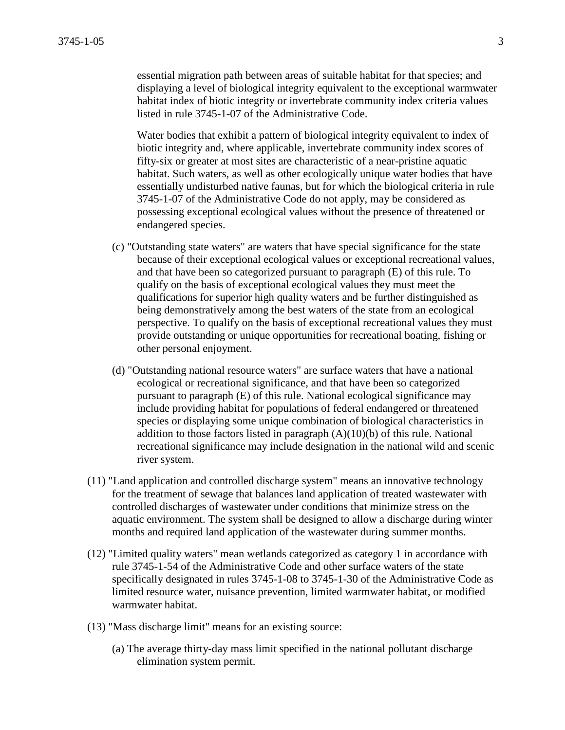essential migration path between areas of suitable habitat for that species; and displaying a level of biological integrity equivalent to the exceptional warmwater habitat index of biotic integrity or invertebrate community index criteria values listed in rule 3745-1-07 of the Administrative Code.

Water bodies that exhibit a pattern of biological integrity equivalent to index of biotic integrity and, where applicable, invertebrate community index scores of fifty-six or greater at most sites are characteristic of a near-pristine aquatic habitat. Such waters, as well as other ecologically unique water bodies that have essentially undisturbed native faunas, but for which the biological criteria in rule 3745-1-07 of the Administrative Code do not apply, may be considered as possessing exceptional ecological values without the presence of threatened or endangered species.

- (c) "Outstanding state waters" are waters that have special significance for the state because of their exceptional ecological values or exceptional recreational values, and that have been so categorized pursuant to paragraph (E) of this rule. To qualify on the basis of exceptional ecological values they must meet the qualifications for superior high quality waters and be further distinguished as being demonstratively among the best waters of the state from an ecological perspective. To qualify on the basis of exceptional recreational values they must provide outstanding or unique opportunities for recreational boating, fishing or other personal enjoyment.
- (d) "Outstanding national resource waters" are surface waters that have a national ecological or recreational significance, and that have been so categorized pursuant to paragraph (E) of this rule. National ecological significance may include providing habitat for populations of federal endangered or threatened species or displaying some unique combination of biological characteristics in addition to those factors listed in paragraph  $(A)(10)(b)$  of this rule. National recreational significance may include designation in the national wild and scenic river system.
- (11) "Land application and controlled discharge system" means an innovative technology for the treatment of sewage that balances land application of treated wastewater with controlled discharges of wastewater under conditions that minimize stress on the aquatic environment. The system shall be designed to allow a discharge during winter months and required land application of the wastewater during summer months.
- (12) "Limited quality waters" mean wetlands categorized as category 1 in accordance with rule 3745-1-54 of the Administrative Code and other surface waters of the state specifically designated in rules 3745-1-08 to 3745-1-30 of the Administrative Code as limited resource water, nuisance prevention, limited warmwater habitat, or modified warmwater habitat.
- (13) "Mass discharge limit" means for an existing source:
	- (a) The average thirty-day mass limit specified in the national pollutant discharge elimination system permit.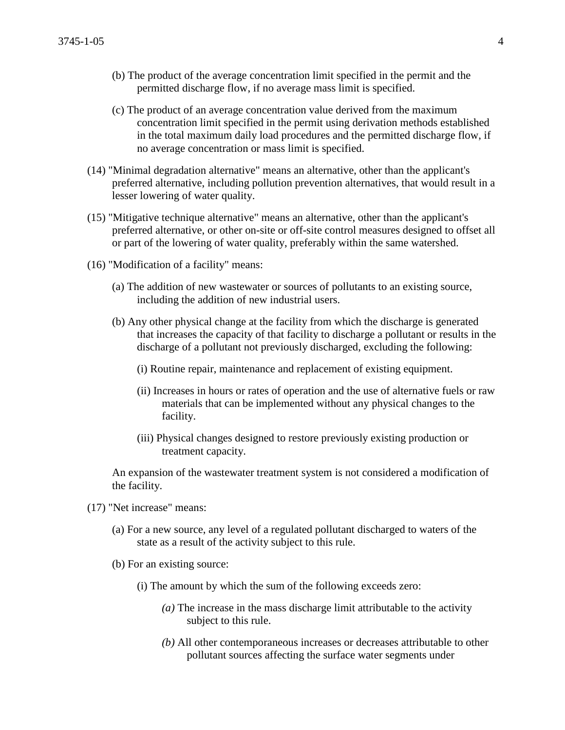- (b) The product of the average concentration limit specified in the permit and the permitted discharge flow, if no average mass limit is specified.
- (c) The product of an average concentration value derived from the maximum concentration limit specified in the permit using derivation methods established in the total maximum daily load procedures and the permitted discharge flow, if no average concentration or mass limit is specified.
- (14) "Minimal degradation alternative" means an alternative, other than the applicant's preferred alternative, including pollution prevention alternatives, that would result in a lesser lowering of water quality.
- (15) "Mitigative technique alternative" means an alternative, other than the applicant's preferred alternative, or other on-site or off-site control measures designed to offset all or part of the lowering of water quality, preferably within the same watershed.
- (16) "Modification of a facility" means:
	- (a) The addition of new wastewater or sources of pollutants to an existing source, including the addition of new industrial users.
	- (b) Any other physical change at the facility from which the discharge is generated that increases the capacity of that facility to discharge a pollutant or results in the discharge of a pollutant not previously discharged, excluding the following:
		- (i) Routine repair, maintenance and replacement of existing equipment.
		- (ii) Increases in hours or rates of operation and the use of alternative fuels or raw materials that can be implemented without any physical changes to the facility.
		- (iii) Physical changes designed to restore previously existing production or treatment capacity.

An expansion of the wastewater treatment system is not considered a modification of the facility.

- (17) "Net increase" means:
	- (a) For a new source, any level of a regulated pollutant discharged to waters of the state as a result of the activity subject to this rule.
	- (b) For an existing source:
		- (i) The amount by which the sum of the following exceeds zero:
			- *(a)* The increase in the mass discharge limit attributable to the activity subject to this rule.
			- *(b)* All other contemporaneous increases or decreases attributable to other pollutant sources affecting the surface water segments under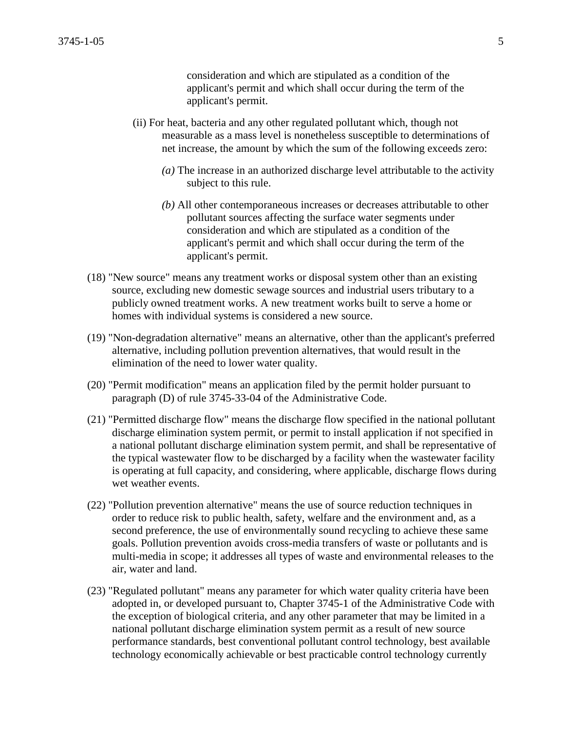consideration and which are stipulated as a condition of the applicant's permit and which shall occur during the term of the applicant's permit.

- (ii) For heat, bacteria and any other regulated pollutant which, though not measurable as a mass level is nonetheless susceptible to determinations of net increase, the amount by which the sum of the following exceeds zero:
	- *(a)* The increase in an authorized discharge level attributable to the activity subject to this rule.
	- *(b)* All other contemporaneous increases or decreases attributable to other pollutant sources affecting the surface water segments under consideration and which are stipulated as a condition of the applicant's permit and which shall occur during the term of the applicant's permit.
- (18) "New source" means any treatment works or disposal system other than an existing source, excluding new domestic sewage sources and industrial users tributary to a publicly owned treatment works. A new treatment works built to serve a home or homes with individual systems is considered a new source.
- (19) "Non-degradation alternative" means an alternative, other than the applicant's preferred alternative, including pollution prevention alternatives, that would result in the elimination of the need to lower water quality.
- (20) "Permit modification" means an application filed by the permit holder pursuant to paragraph (D) of rule 3745-33-04 of the Administrative Code.
- (21) "Permitted discharge flow" means the discharge flow specified in the national pollutant discharge elimination system permit, or permit to install application if not specified in a national pollutant discharge elimination system permit, and shall be representative of the typical wastewater flow to be discharged by a facility when the wastewater facility is operating at full capacity, and considering, where applicable, discharge flows during wet weather events.
- (22) "Pollution prevention alternative" means the use of source reduction techniques in order to reduce risk to public health, safety, welfare and the environment and, as a second preference, the use of environmentally sound recycling to achieve these same goals. Pollution prevention avoids cross-media transfers of waste or pollutants and is multi-media in scope; it addresses all types of waste and environmental releases to the air, water and land.
- (23) "Regulated pollutant" means any parameter for which water quality criteria have been adopted in, or developed pursuant to, Chapter 3745-1 of the Administrative Code with the exception of biological criteria, and any other parameter that may be limited in a national pollutant discharge elimination system permit as a result of new source performance standards, best conventional pollutant control technology, best available technology economically achievable or best practicable control technology currently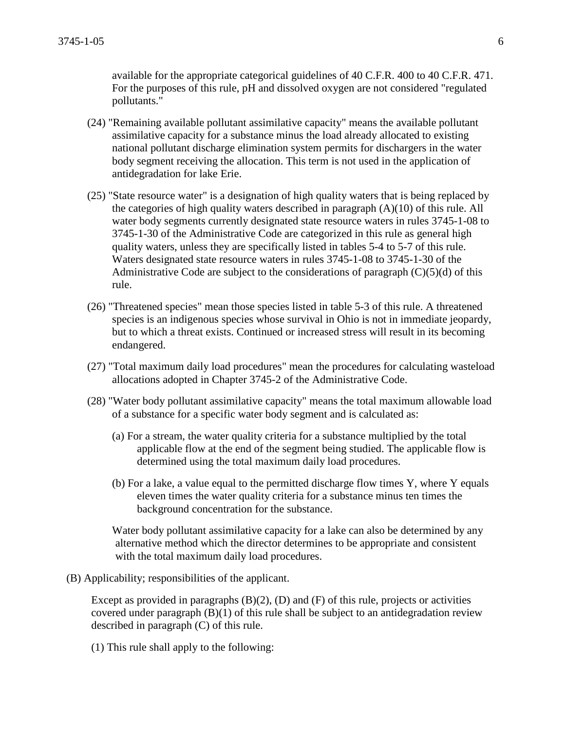available for the appropriate categorical guidelines of 40 C.F.R. 400 to 40 C.F.R. 471. For the purposes of this rule, pH and dissolved oxygen are not considered "regulated pollutants."

- (24) "Remaining available pollutant assimilative capacity" means the available pollutant assimilative capacity for a substance minus the load already allocated to existing national pollutant discharge elimination system permits for dischargers in the water body segment receiving the allocation. This term is not used in the application of antidegradation for lake Erie.
- (25) "State resource water" is a designation of high quality waters that is being replaced by the categories of high quality waters described in paragraph (A)(10) of this rule. All water body segments currently designated state resource waters in rules 3745-1-08 to 3745-1-30 of the Administrative Code are categorized in this rule as general high quality waters, unless they are specifically listed in tables 5-4 to 5-7 of this rule. Waters designated state resource waters in rules 3745-1-08 to 3745-1-30 of the Administrative Code are subject to the considerations of paragraph  $(C)(5)(d)$  of this rule.
- (26) "Threatened species" mean those species listed in table 5-3 of this rule. A threatened species is an indigenous species whose survival in Ohio is not in immediate jeopardy, but to which a threat exists. Continued or increased stress will result in its becoming endangered.
- (27) "Total maximum daily load procedures" mean the procedures for calculating wasteload allocations adopted in Chapter 3745-2 of the Administrative Code.
- (28) "Water body pollutant assimilative capacity" means the total maximum allowable load of a substance for a specific water body segment and is calculated as:
	- (a) For a stream, the water quality criteria for a substance multiplied by the total applicable flow at the end of the segment being studied. The applicable flow is determined using the total maximum daily load procedures.
	- (b) For a lake, a value equal to the permitted discharge flow times Y, where Y equals eleven times the water quality criteria for a substance minus ten times the background concentration for the substance.

Water body pollutant assimilative capacity for a lake can also be determined by any alternative method which the director determines to be appropriate and consistent with the total maximum daily load procedures.

(B) Applicability; responsibilities of the applicant.

Except as provided in paragraphs  $(B)(2)$ ,  $(D)$  and  $(F)$  of this rule, projects or activities covered under paragraph (B)(1) of this rule shall be subject to an antidegradation review described in paragraph (C) of this rule.

(1) This rule shall apply to the following: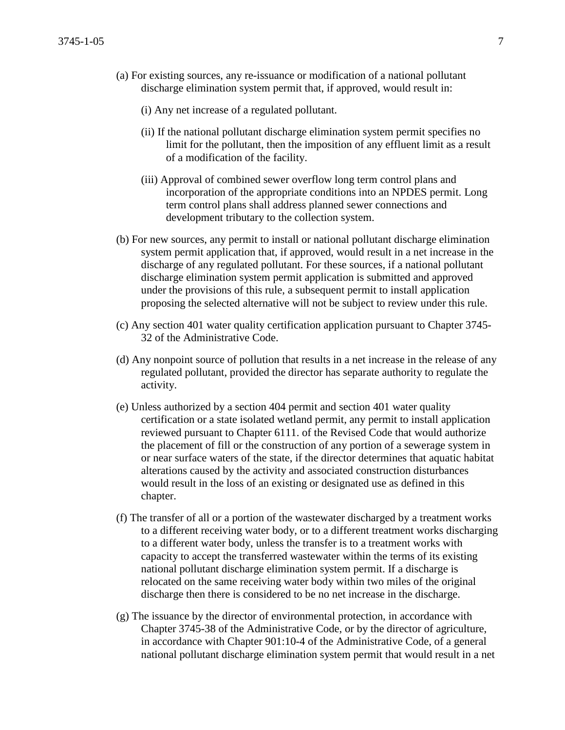- (a) For existing sources, any re-issuance or modification of a national pollutant discharge elimination system permit that, if approved, would result in:
	- (i) Any net increase of a regulated pollutant.
	- (ii) If the national pollutant discharge elimination system permit specifies no limit for the pollutant, then the imposition of any effluent limit as a result of a modification of the facility.
	- (iii) Approval of combined sewer overflow long term control plans and incorporation of the appropriate conditions into an NPDES permit. Long term control plans shall address planned sewer connections and development tributary to the collection system.
- (b) For new sources, any permit to install or national pollutant discharge elimination system permit application that, if approved, would result in a net increase in the discharge of any regulated pollutant. For these sources, if a national pollutant discharge elimination system permit application is submitted and approved under the provisions of this rule, a subsequent permit to install application proposing the selected alternative will not be subject to review under this rule.
- (c) Any section 401 water quality certification application pursuant to Chapter 3745- 32 of the Administrative Code.
- (d) Any nonpoint source of pollution that results in a net increase in the release of any regulated pollutant, provided the director has separate authority to regulate the activity.
- (e) Unless authorized by a section 404 permit and section 401 water quality certification or a state isolated wetland permit, any permit to install application reviewed pursuant to Chapter 6111. of the Revised Code that would authorize the placement of fill or the construction of any portion of a sewerage system in or near surface waters of the state, if the director determines that aquatic habitat alterations caused by the activity and associated construction disturbances would result in the loss of an existing or designated use as defined in this chapter.
- (f) The transfer of all or a portion of the wastewater discharged by a treatment works to a different receiving water body, or to a different treatment works discharging to a different water body, unless the transfer is to a treatment works with capacity to accept the transferred wastewater within the terms of its existing national pollutant discharge elimination system permit. If a discharge is relocated on the same receiving water body within two miles of the original discharge then there is considered to be no net increase in the discharge.
- (g) The issuance by the director of environmental protection, in accordance with Chapter 3745-38 of the Administrative Code, or by the director of agriculture, in accordance with Chapter 901:10-4 of the Administrative Code, of a general national pollutant discharge elimination system permit that would result in a net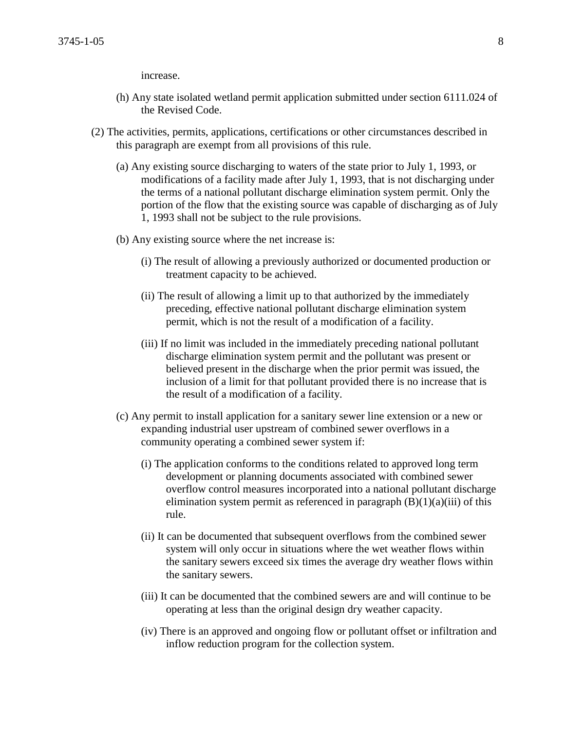increase.

- (h) Any state isolated wetland permit application submitted under section 6111.024 of the Revised Code.
- (2) The activities, permits, applications, certifications or other circumstances described in this paragraph are exempt from all provisions of this rule.
	- (a) Any existing source discharging to waters of the state prior to July 1, 1993, or modifications of a facility made after July 1, 1993, that is not discharging under the terms of a national pollutant discharge elimination system permit. Only the portion of the flow that the existing source was capable of discharging as of July 1, 1993 shall not be subject to the rule provisions.
	- (b) Any existing source where the net increase is:
		- (i) The result of allowing a previously authorized or documented production or treatment capacity to be achieved.
		- (ii) The result of allowing a limit up to that authorized by the immediately preceding, effective national pollutant discharge elimination system permit, which is not the result of a modification of a facility.
		- (iii) If no limit was included in the immediately preceding national pollutant discharge elimination system permit and the pollutant was present or believed present in the discharge when the prior permit was issued, the inclusion of a limit for that pollutant provided there is no increase that is the result of a modification of a facility.
	- (c) Any permit to install application for a sanitary sewer line extension or a new or expanding industrial user upstream of combined sewer overflows in a community operating a combined sewer system if:
		- (i) The application conforms to the conditions related to approved long term development or planning documents associated with combined sewer overflow control measures incorporated into a national pollutant discharge elimination system permit as referenced in paragraph  $(B)(1)(a)(iii)$  of this rule.
		- (ii) It can be documented that subsequent overflows from the combined sewer system will only occur in situations where the wet weather flows within the sanitary sewers exceed six times the average dry weather flows within the sanitary sewers.
		- (iii) It can be documented that the combined sewers are and will continue to be operating at less than the original design dry weather capacity.
		- (iv) There is an approved and ongoing flow or pollutant offset or infiltration and inflow reduction program for the collection system.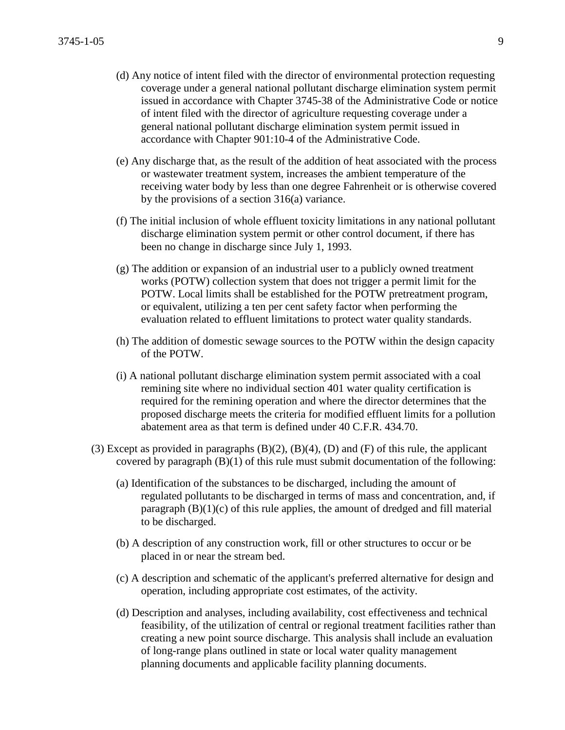- (d) Any notice of intent filed with the director of environmental protection requesting coverage under a general national pollutant discharge elimination system permit issued in accordance with Chapter 3745-38 of the Administrative Code or notice of intent filed with the director of agriculture requesting coverage under a general national pollutant discharge elimination system permit issued in accordance with Chapter 901:10-4 of the Administrative Code.
- (e) Any discharge that, as the result of the addition of heat associated with the process or wastewater treatment system, increases the ambient temperature of the receiving water body by less than one degree Fahrenheit or is otherwise covered by the provisions of a section 316(a) variance.
- (f) The initial inclusion of whole effluent toxicity limitations in any national pollutant discharge elimination system permit or other control document, if there has been no change in discharge since July 1, 1993.
- (g) The addition or expansion of an industrial user to a publicly owned treatment works (POTW) collection system that does not trigger a permit limit for the POTW. Local limits shall be established for the POTW pretreatment program, or equivalent, utilizing a ten per cent safety factor when performing the evaluation related to effluent limitations to protect water quality standards.
- (h) The addition of domestic sewage sources to the POTW within the design capacity of the POTW.
- (i) A national pollutant discharge elimination system permit associated with a coal remining site where no individual section 401 water quality certification is required for the remining operation and where the director determines that the proposed discharge meets the criteria for modified effluent limits for a pollution abatement area as that term is defined under 40 C.F.R. 434.70.
- (3) Except as provided in paragraphs  $(B)(2)$ ,  $(B)(4)$ ,  $(D)$  and  $(F)$  of this rule, the applicant covered by paragraph  $(B)(1)$  of this rule must submit documentation of the following:
	- (a) Identification of the substances to be discharged, including the amount of regulated pollutants to be discharged in terms of mass and concentration, and, if paragraph  $(B)(1)(c)$  of this rule applies, the amount of dredged and fill material to be discharged.
	- (b) A description of any construction work, fill or other structures to occur or be placed in or near the stream bed.
	- (c) A description and schematic of the applicant's preferred alternative for design and operation, including appropriate cost estimates, of the activity.
	- (d) Description and analyses, including availability, cost effectiveness and technical feasibility, of the utilization of central or regional treatment facilities rather than creating a new point source discharge. This analysis shall include an evaluation of long-range plans outlined in state or local water quality management planning documents and applicable facility planning documents.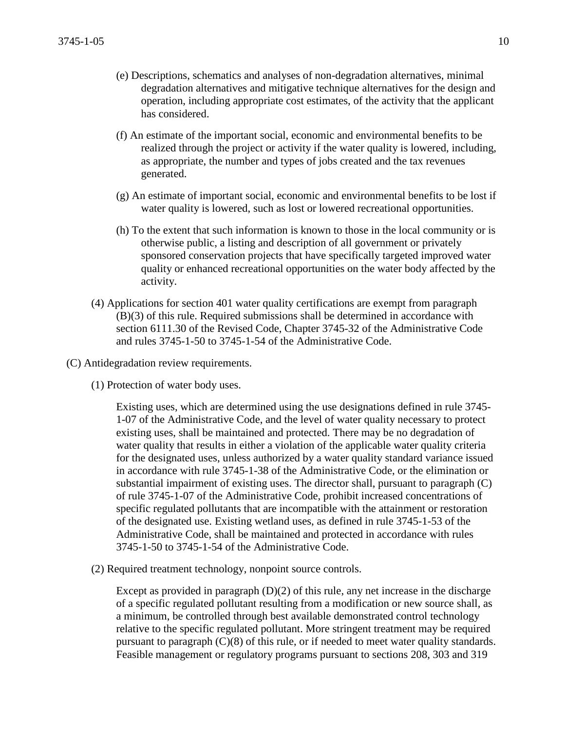- (e) Descriptions, schematics and analyses of non-degradation alternatives, minimal degradation alternatives and mitigative technique alternatives for the design and operation, including appropriate cost estimates, of the activity that the applicant has considered.
- (f) An estimate of the important social, economic and environmental benefits to be realized through the project or activity if the water quality is lowered, including, as appropriate, the number and types of jobs created and the tax revenues generated.
- (g) An estimate of important social, economic and environmental benefits to be lost if water quality is lowered, such as lost or lowered recreational opportunities.
- (h) To the extent that such information is known to those in the local community or is otherwise public, a listing and description of all government or privately sponsored conservation projects that have specifically targeted improved water quality or enhanced recreational opportunities on the water body affected by the activity.
- (4) Applications for section 401 water quality certifications are exempt from paragraph (B)(3) of this rule. Required submissions shall be determined in accordance with section 6111.30 of the Revised Code, Chapter 3745-32 of the Administrative Code and rules 3745-1-50 to 3745-1-54 of the Administrative Code.
- (C) Antidegradation review requirements.
	- (1) Protection of water body uses.

Existing uses, which are determined using the use designations defined in rule 3745- 1-07 of the Administrative Code, and the level of water quality necessary to protect existing uses, shall be maintained and protected. There may be no degradation of water quality that results in either a violation of the applicable water quality criteria for the designated uses, unless authorized by a water quality standard variance issued in accordance with rule 3745-1-38 of the Administrative Code, or the elimination or substantial impairment of existing uses. The director shall, pursuant to paragraph (C) of rule 3745-1-07 of the Administrative Code, prohibit increased concentrations of specific regulated pollutants that are incompatible with the attainment or restoration of the designated use. Existing wetland uses, as defined in rule 3745-1-53 of the Administrative Code, shall be maintained and protected in accordance with rules 3745-1-50 to 3745-1-54 of the Administrative Code.

(2) Required treatment technology, nonpoint source controls.

Except as provided in paragraph  $(D)(2)$  of this rule, any net increase in the discharge of a specific regulated pollutant resulting from a modification or new source shall, as a minimum, be controlled through best available demonstrated control technology relative to the specific regulated pollutant. More stringent treatment may be required pursuant to paragraph (C)(8) of this rule, or if needed to meet water quality standards. Feasible management or regulatory programs pursuant to sections 208, 303 and 319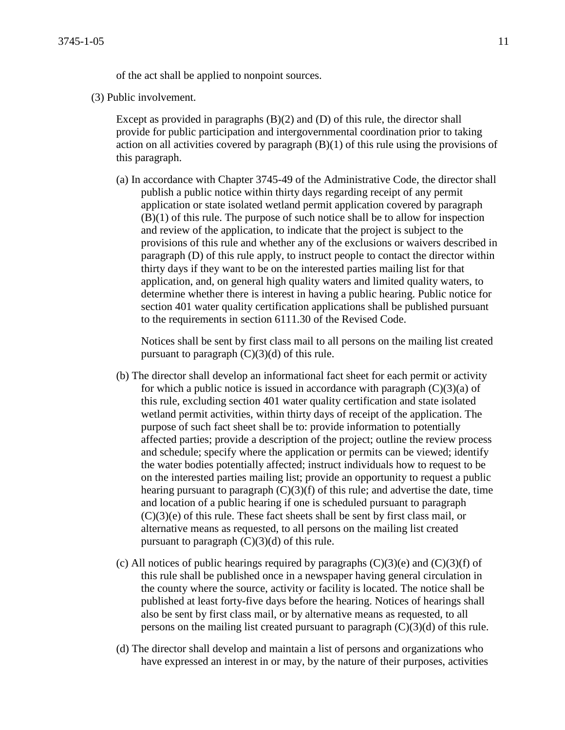of the act shall be applied to nonpoint sources.

(3) Public involvement.

Except as provided in paragraphs  $(B)(2)$  and  $(D)$  of this rule, the director shall provide for public participation and intergovernmental coordination prior to taking action on all activities covered by paragraph (B)(1) of this rule using the provisions of this paragraph.

(a) In accordance with Chapter 3745-49 of the Administrative Code, the director shall publish a public notice within thirty days regarding receipt of any permit application or state isolated wetland permit application covered by paragraph (B)(1) of this rule. The purpose of such notice shall be to allow for inspection and review of the application, to indicate that the project is subject to the provisions of this rule and whether any of the exclusions or waivers described in paragraph (D) of this rule apply, to instruct people to contact the director within thirty days if they want to be on the interested parties mailing list for that application, and, on general high quality waters and limited quality waters, to determine whether there is interest in having a public hearing. Public notice for section 401 water quality certification applications shall be published pursuant to the requirements in section 6111.30 of the Revised Code.

Notices shall be sent by first class mail to all persons on the mailing list created pursuant to paragraph  $(C)(3)(d)$  of this rule.

- (b) The director shall develop an informational fact sheet for each permit or activity for which a public notice is issued in accordance with paragraph  $(C)(3)(a)$  of this rule, excluding section 401 water quality certification and state isolated wetland permit activities, within thirty days of receipt of the application. The purpose of such fact sheet shall be to: provide information to potentially affected parties; provide a description of the project; outline the review process and schedule; specify where the application or permits can be viewed; identify the water bodies potentially affected; instruct individuals how to request to be on the interested parties mailing list; provide an opportunity to request a public hearing pursuant to paragraph  $(C)(3)(f)$  of this rule; and advertise the date, time and location of a public hearing if one is scheduled pursuant to paragraph (C)(3)(e) of this rule. These fact sheets shall be sent by first class mail, or alternative means as requested, to all persons on the mailing list created pursuant to paragraph  $(C)(3)(d)$  of this rule.
- (c) All notices of public hearings required by paragraphs  $(C)(3)(e)$  and  $(C)(3)(f)$  of this rule shall be published once in a newspaper having general circulation in the county where the source, activity or facility is located. The notice shall be published at least forty-five days before the hearing. Notices of hearings shall also be sent by first class mail, or by alternative means as requested, to all persons on the mailing list created pursuant to paragraph  $(C)(3)(d)$  of this rule.
- (d) The director shall develop and maintain a list of persons and organizations who have expressed an interest in or may, by the nature of their purposes, activities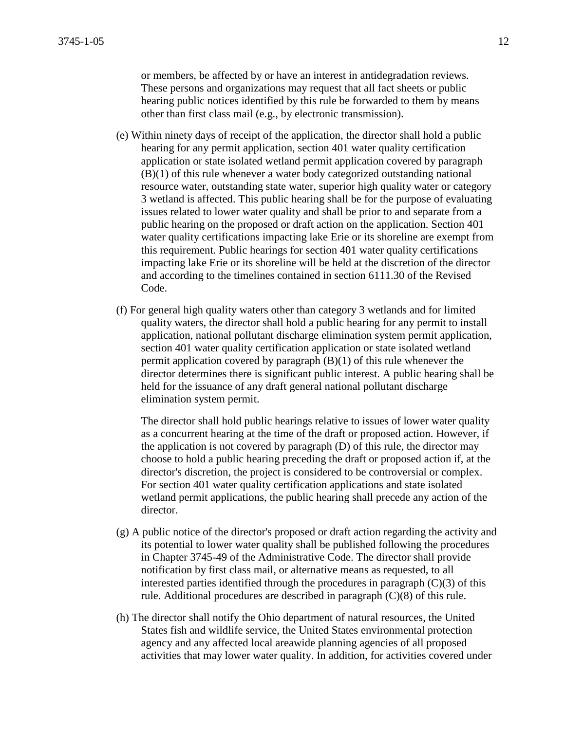or members, be affected by or have an interest in antidegradation reviews. These persons and organizations may request that all fact sheets or public hearing public notices identified by this rule be forwarded to them by means other than first class mail (e.g., by electronic transmission).

- (e) Within ninety days of receipt of the application, the director shall hold a public hearing for any permit application, section 401 water quality certification application or state isolated wetland permit application covered by paragraph (B)(1) of this rule whenever a water body categorized outstanding national resource water, outstanding state water, superior high quality water or category 3 wetland is affected. This public hearing shall be for the purpose of evaluating issues related to lower water quality and shall be prior to and separate from a public hearing on the proposed or draft action on the application. Section 401 water quality certifications impacting lake Erie or its shoreline are exempt from this requirement. Public hearings for section 401 water quality certifications impacting lake Erie or its shoreline will be held at the discretion of the director and according to the timelines contained in section 6111.30 of the Revised Code.
- (f) For general high quality waters other than category 3 wetlands and for limited quality waters, the director shall hold a public hearing for any permit to install application, national pollutant discharge elimination system permit application, section 401 water quality certification application or state isolated wetland permit application covered by paragraph (B)(1) of this rule whenever the director determines there is significant public interest. A public hearing shall be held for the issuance of any draft general national pollutant discharge elimination system permit.

The director shall hold public hearings relative to issues of lower water quality as a concurrent hearing at the time of the draft or proposed action. However, if the application is not covered by paragraph (D) of this rule, the director may choose to hold a public hearing preceding the draft or proposed action if, at the director's discretion, the project is considered to be controversial or complex. For section 401 water quality certification applications and state isolated wetland permit applications, the public hearing shall precede any action of the director.

- (g) A public notice of the director's proposed or draft action regarding the activity and its potential to lower water quality shall be published following the procedures in Chapter 3745-49 of the Administrative Code. The director shall provide notification by first class mail, or alternative means as requested, to all interested parties identified through the procedures in paragraph  $(C)(3)$  of this rule. Additional procedures are described in paragraph (C)(8) of this rule.
- (h) The director shall notify the Ohio department of natural resources, the United States fish and wildlife service, the United States environmental protection agency and any affected local areawide planning agencies of all proposed activities that may lower water quality. In addition, for activities covered under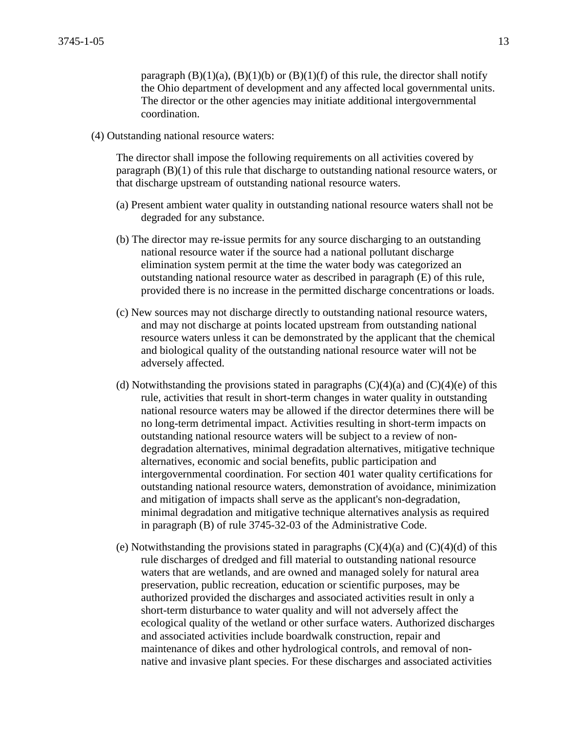paragraph  $(B)(1)(a)$ ,  $(B)(1)(b)$  or  $(B)(1)(f)$  of this rule, the director shall notify the Ohio department of development and any affected local governmental units. The director or the other agencies may initiate additional intergovernmental coordination.

(4) Outstanding national resource waters:

The director shall impose the following requirements on all activities covered by paragraph (B)(1) of this rule that discharge to outstanding national resource waters, or that discharge upstream of outstanding national resource waters.

- (a) Present ambient water quality in outstanding national resource waters shall not be degraded for any substance.
- (b) The director may re-issue permits for any source discharging to an outstanding national resource water if the source had a national pollutant discharge elimination system permit at the time the water body was categorized an outstanding national resource water as described in paragraph (E) of this rule, provided there is no increase in the permitted discharge concentrations or loads.
- (c) New sources may not discharge directly to outstanding national resource waters, and may not discharge at points located upstream from outstanding national resource waters unless it can be demonstrated by the applicant that the chemical and biological quality of the outstanding national resource water will not be adversely affected.
- (d) Notwithstanding the provisions stated in paragraphs  $(C)(4)(a)$  and  $(C)(4)(e)$  of this rule, activities that result in short-term changes in water quality in outstanding national resource waters may be allowed if the director determines there will be no long-term detrimental impact. Activities resulting in short-term impacts on outstanding national resource waters will be subject to a review of nondegradation alternatives, minimal degradation alternatives, mitigative technique alternatives, economic and social benefits, public participation and intergovernmental coordination. For section 401 water quality certifications for outstanding national resource waters, demonstration of avoidance, minimization and mitigation of impacts shall serve as the applicant's non-degradation, minimal degradation and mitigative technique alternatives analysis as required in paragraph (B) of rule 3745-32-03 of the Administrative Code.
- (e) Notwithstanding the provisions stated in paragraphs  $(C)(4)(a)$  and  $(C)(4)(d)$  of this rule discharges of dredged and fill material to outstanding national resource waters that are wetlands, and are owned and managed solely for natural area preservation, public recreation, education or scientific purposes, may be authorized provided the discharges and associated activities result in only a short-term disturbance to water quality and will not adversely affect the ecological quality of the wetland or other surface waters. Authorized discharges and associated activities include boardwalk construction, repair and maintenance of dikes and other hydrological controls, and removal of nonnative and invasive plant species. For these discharges and associated activities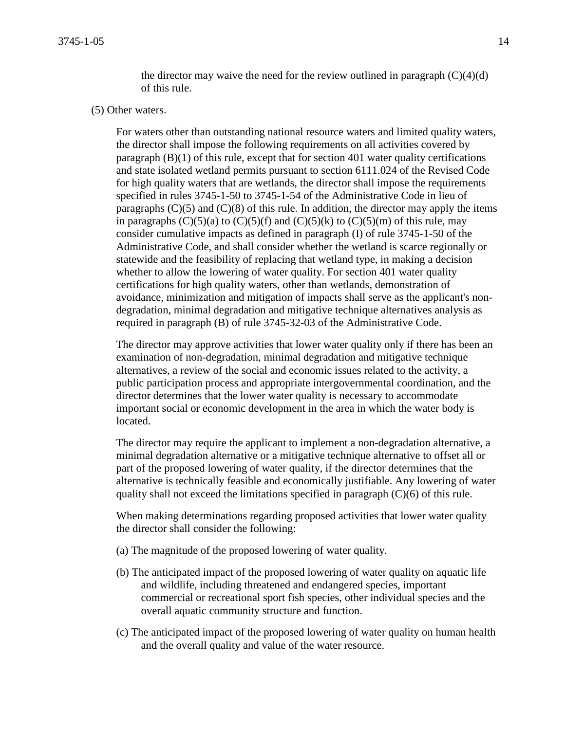the director may waive the need for the review outlined in paragraph  $(C)(4)(d)$ of this rule.

## (5) Other waters.

For waters other than outstanding national resource waters and limited quality waters, the director shall impose the following requirements on all activities covered by paragraph  $(B)(1)$  of this rule, except that for section 401 water quality certifications and state isolated wetland permits pursuant to section 6111.024 of the Revised Code for high quality waters that are wetlands, the director shall impose the requirements specified in rules 3745-1-50 to 3745-1-54 of the Administrative Code in lieu of paragraphs  $(C)(5)$  and  $(C)(8)$  of this rule. In addition, the director may apply the items in paragraphs  $(C)(5)(a)$  to  $(C)(5)(f)$  and  $(C)(5)(k)$  to  $(C)(5)(m)$  of this rule, may consider cumulative impacts as defined in paragraph (I) of rule 3745-1-50 of the Administrative Code, and shall consider whether the wetland is scarce regionally or statewide and the feasibility of replacing that wetland type, in making a decision whether to allow the lowering of water quality. For section 401 water quality certifications for high quality waters, other than wetlands, demonstration of avoidance, minimization and mitigation of impacts shall serve as the applicant's nondegradation, minimal degradation and mitigative technique alternatives analysis as required in paragraph (B) of rule 3745-32-03 of the Administrative Code.

The director may approve activities that lower water quality only if there has been an examination of non-degradation, minimal degradation and mitigative technique alternatives, a review of the social and economic issues related to the activity, a public participation process and appropriate intergovernmental coordination, and the director determines that the lower water quality is necessary to accommodate important social or economic development in the area in which the water body is located.

The director may require the applicant to implement a non-degradation alternative, a minimal degradation alternative or a mitigative technique alternative to offset all or part of the proposed lowering of water quality, if the director determines that the alternative is technically feasible and economically justifiable. Any lowering of water quality shall not exceed the limitations specified in paragraph (C)(6) of this rule.

When making determinations regarding proposed activities that lower water quality the director shall consider the following:

- (a) The magnitude of the proposed lowering of water quality.
- (b) The anticipated impact of the proposed lowering of water quality on aquatic life and wildlife, including threatened and endangered species, important commercial or recreational sport fish species, other individual species and the overall aquatic community structure and function.
- (c) The anticipated impact of the proposed lowering of water quality on human health and the overall quality and value of the water resource.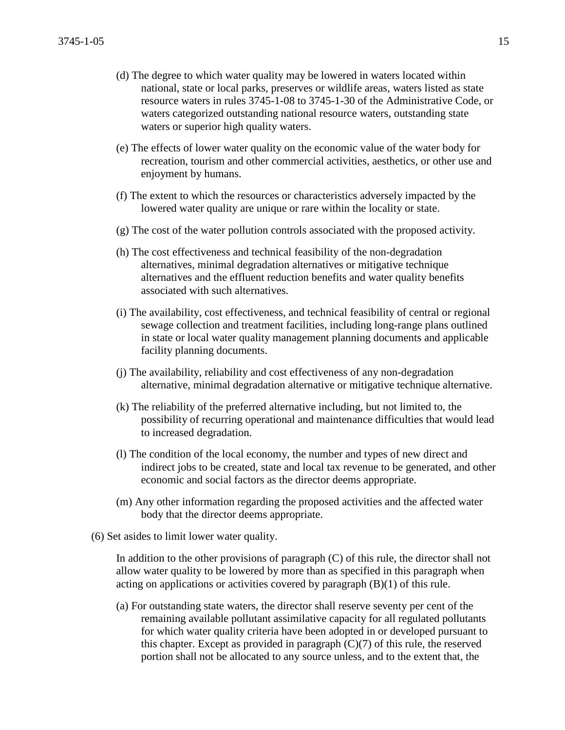- (d) The degree to which water quality may be lowered in waters located within national, state or local parks, preserves or wildlife areas, waters listed as state resource waters in rules 3745-1-08 to 3745-1-30 of the Administrative Code, or waters categorized outstanding national resource waters, outstanding state waters or superior high quality waters.
- (e) The effects of lower water quality on the economic value of the water body for recreation, tourism and other commercial activities, aesthetics, or other use and enjoyment by humans.
- (f) The extent to which the resources or characteristics adversely impacted by the lowered water quality are unique or rare within the locality or state.
- (g) The cost of the water pollution controls associated with the proposed activity.
- (h) The cost effectiveness and technical feasibility of the non-degradation alternatives, minimal degradation alternatives or mitigative technique alternatives and the effluent reduction benefits and water quality benefits associated with such alternatives.
- (i) The availability, cost effectiveness, and technical feasibility of central or regional sewage collection and treatment facilities, including long-range plans outlined in state or local water quality management planning documents and applicable facility planning documents.
- (j) The availability, reliability and cost effectiveness of any non-degradation alternative, minimal degradation alternative or mitigative technique alternative.
- (k) The reliability of the preferred alternative including, but not limited to, the possibility of recurring operational and maintenance difficulties that would lead to increased degradation.
- (l) The condition of the local economy, the number and types of new direct and indirect jobs to be created, state and local tax revenue to be generated, and other economic and social factors as the director deems appropriate.
- (m) Any other information regarding the proposed activities and the affected water body that the director deems appropriate.
- (6) Set asides to limit lower water quality.

In addition to the other provisions of paragraph (C) of this rule, the director shall not allow water quality to be lowered by more than as specified in this paragraph when acting on applications or activities covered by paragraph (B)(1) of this rule.

(a) For outstanding state waters, the director shall reserve seventy per cent of the remaining available pollutant assimilative capacity for all regulated pollutants for which water quality criteria have been adopted in or developed pursuant to this chapter. Except as provided in paragraph  $(C)(7)$  of this rule, the reserved portion shall not be allocated to any source unless, and to the extent that, the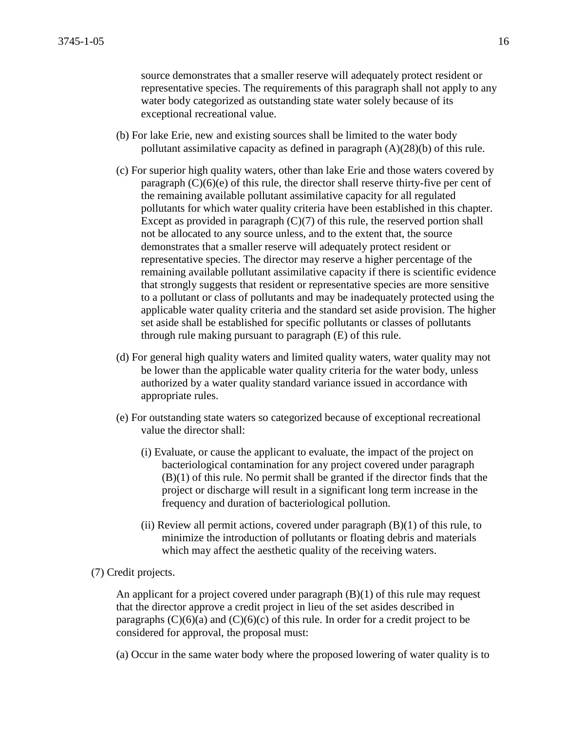source demonstrates that a smaller reserve will adequately protect resident or representative species. The requirements of this paragraph shall not apply to any water body categorized as outstanding state water solely because of its exceptional recreational value.

- (b) For lake Erie, new and existing sources shall be limited to the water body pollutant assimilative capacity as defined in paragraph (A)(28)(b) of this rule.
- (c) For superior high quality waters, other than lake Erie and those waters covered by paragraph  $(C)(6)(e)$  of this rule, the director shall reserve thirty-five per cent of the remaining available pollutant assimilative capacity for all regulated pollutants for which water quality criteria have been established in this chapter. Except as provided in paragraph  $(C)(7)$  of this rule, the reserved portion shall not be allocated to any source unless, and to the extent that, the source demonstrates that a smaller reserve will adequately protect resident or representative species. The director may reserve a higher percentage of the remaining available pollutant assimilative capacity if there is scientific evidence that strongly suggests that resident or representative species are more sensitive to a pollutant or class of pollutants and may be inadequately protected using the applicable water quality criteria and the standard set aside provision. The higher set aside shall be established for specific pollutants or classes of pollutants through rule making pursuant to paragraph (E) of this rule.
- (d) For general high quality waters and limited quality waters, water quality may not be lower than the applicable water quality criteria for the water body, unless authorized by a water quality standard variance issued in accordance with appropriate rules.
- (e) For outstanding state waters so categorized because of exceptional recreational value the director shall:
	- (i) Evaluate, or cause the applicant to evaluate, the impact of the project on bacteriological contamination for any project covered under paragraph (B)(1) of this rule. No permit shall be granted if the director finds that the project or discharge will result in a significant long term increase in the frequency and duration of bacteriological pollution.
	- (ii) Review all permit actions, covered under paragraph  $(B)(1)$  of this rule, to minimize the introduction of pollutants or floating debris and materials which may affect the aesthetic quality of the receiving waters.

## (7) Credit projects.

An applicant for a project covered under paragraph (B)(1) of this rule may request that the director approve a credit project in lieu of the set asides described in paragraphs  $(C)(6)(a)$  and  $(C)(6)(c)$  of this rule. In order for a credit project to be considered for approval, the proposal must:

(a) Occur in the same water body where the proposed lowering of water quality is to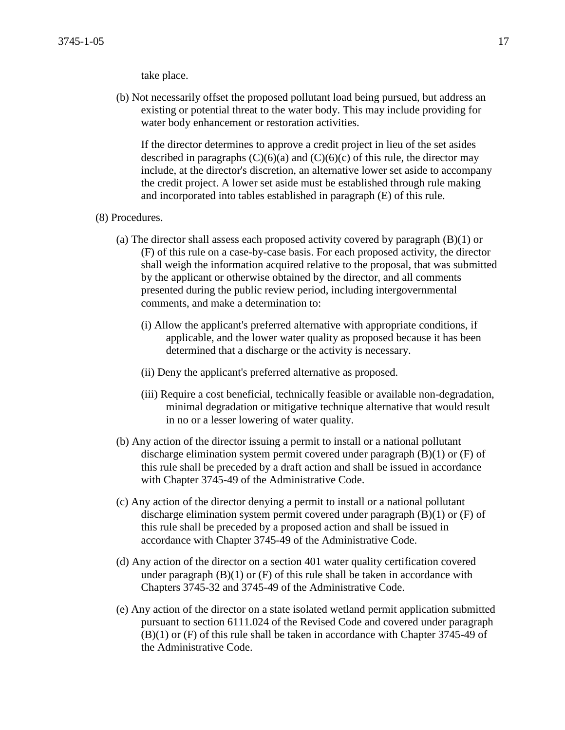## take place.

(b) Not necessarily offset the proposed pollutant load being pursued, but address an existing or potential threat to the water body. This may include providing for water body enhancement or restoration activities.

If the director determines to approve a credit project in lieu of the set asides described in paragraphs  $(C)(6)(a)$  and  $(C)(6)(c)$  of this rule, the director may include, at the director's discretion, an alternative lower set aside to accompany the credit project. A lower set aside must be established through rule making and incorporated into tables established in paragraph (E) of this rule.

- (8) Procedures.
	- (a) The director shall assess each proposed activity covered by paragraph (B)(1) or (F) of this rule on a case-by-case basis. For each proposed activity, the director shall weigh the information acquired relative to the proposal, that was submitted by the applicant or otherwise obtained by the director, and all comments presented during the public review period, including intergovernmental comments, and make a determination to:
		- (i) Allow the applicant's preferred alternative with appropriate conditions, if applicable, and the lower water quality as proposed because it has been determined that a discharge or the activity is necessary.
		- (ii) Deny the applicant's preferred alternative as proposed.
		- (iii) Require a cost beneficial, technically feasible or available non-degradation, minimal degradation or mitigative technique alternative that would result in no or a lesser lowering of water quality.
	- (b) Any action of the director issuing a permit to install or a national pollutant discharge elimination system permit covered under paragraph (B)(1) or (F) of this rule shall be preceded by a draft action and shall be issued in accordance with Chapter 3745-49 of the Administrative Code.
	- (c) Any action of the director denying a permit to install or a national pollutant discharge elimination system permit covered under paragraph (B)(1) or (F) of this rule shall be preceded by a proposed action and shall be issued in accordance with Chapter 3745-49 of the Administrative Code.
	- (d) Any action of the director on a section 401 water quality certification covered under paragraph  $(B)(1)$  or  $(F)$  of this rule shall be taken in accordance with Chapters 3745-32 and 3745-49 of the Administrative Code.
	- (e) Any action of the director on a state isolated wetland permit application submitted pursuant to section 6111.024 of the Revised Code and covered under paragraph (B)(1) or (F) of this rule shall be taken in accordance with Chapter 3745-49 of the Administrative Code.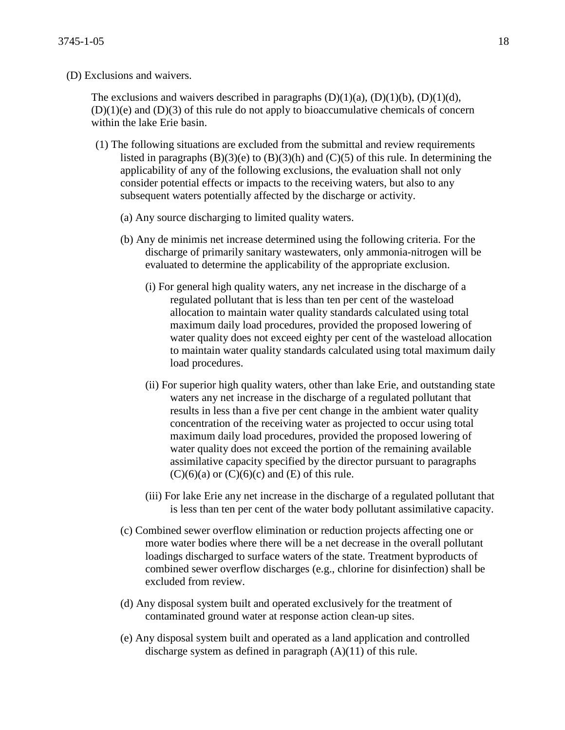(D) Exclusions and waivers.

The exclusions and waivers described in paragraphs  $(D)(1)(a)$ ,  $(D)(1)(b)$ ,  $(D)(1)(d)$ ,  $(D)(1)(e)$  and  $(D)(3)$  of this rule do not apply to bioaccumulative chemicals of concern within the lake Erie basin.

- (1) The following situations are excluded from the submittal and review requirements listed in paragraphs  $(B)(3)(e)$  to  $(B)(3)(h)$  and  $(C)(5)$  of this rule. In determining the applicability of any of the following exclusions, the evaluation shall not only consider potential effects or impacts to the receiving waters, but also to any subsequent waters potentially affected by the discharge or activity.
	- (a) Any source discharging to limited quality waters.
	- (b) Any de minimis net increase determined using the following criteria. For the discharge of primarily sanitary wastewaters, only ammonia-nitrogen will be evaluated to determine the applicability of the appropriate exclusion.
		- (i) For general high quality waters, any net increase in the discharge of a regulated pollutant that is less than ten per cent of the wasteload allocation to maintain water quality standards calculated using total maximum daily load procedures, provided the proposed lowering of water quality does not exceed eighty per cent of the wasteload allocation to maintain water quality standards calculated using total maximum daily load procedures.
		- (ii) For superior high quality waters, other than lake Erie, and outstanding state waters any net increase in the discharge of a regulated pollutant that results in less than a five per cent change in the ambient water quality concentration of the receiving water as projected to occur using total maximum daily load procedures, provided the proposed lowering of water quality does not exceed the portion of the remaining available assimilative capacity specified by the director pursuant to paragraphs  $(C)(6)(a)$  or  $(C)(6)(c)$  and  $(E)$  of this rule.
		- (iii) For lake Erie any net increase in the discharge of a regulated pollutant that is less than ten per cent of the water body pollutant assimilative capacity.
	- (c) Combined sewer overflow elimination or reduction projects affecting one or more water bodies where there will be a net decrease in the overall pollutant loadings discharged to surface waters of the state. Treatment byproducts of combined sewer overflow discharges (e.g., chlorine for disinfection) shall be excluded from review.
	- (d) Any disposal system built and operated exclusively for the treatment of contaminated ground water at response action clean-up sites.
	- (e) Any disposal system built and operated as a land application and controlled discharge system as defined in paragraph (A)(11) of this rule.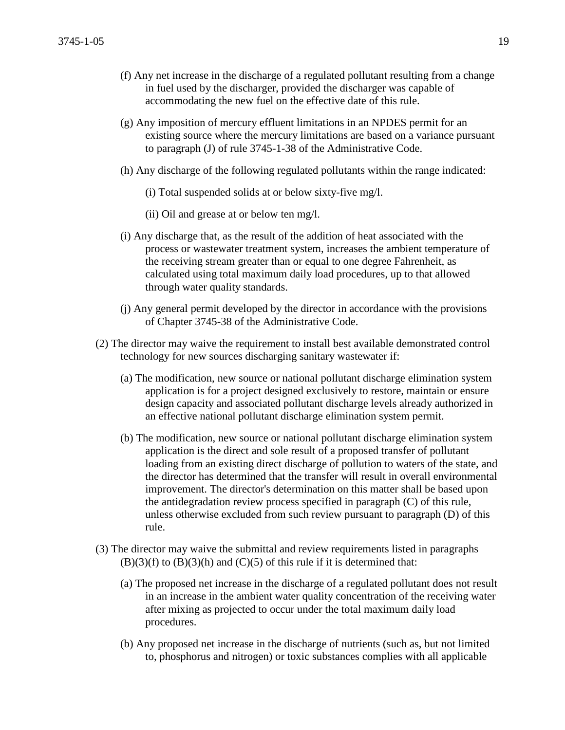- (f) Any net increase in the discharge of a regulated pollutant resulting from a change in fuel used by the discharger, provided the discharger was capable of accommodating the new fuel on the effective date of this rule.
- (g) Any imposition of mercury effluent limitations in an NPDES permit for an existing source where the mercury limitations are based on a variance pursuant to paragraph (J) of rule 3745-1-38 of the Administrative Code.
- (h) Any discharge of the following regulated pollutants within the range indicated:
	- (i) Total suspended solids at or below sixty-five mg/l.
	- (ii) Oil and grease at or below ten mg/l.
- (i) Any discharge that, as the result of the addition of heat associated with the process or wastewater treatment system, increases the ambient temperature of the receiving stream greater than or equal to one degree Fahrenheit, as calculated using total maximum daily load procedures, up to that allowed through water quality standards.
- (j) Any general permit developed by the director in accordance with the provisions of Chapter 3745-38 of the Administrative Code.
- (2) The director may waive the requirement to install best available demonstrated control technology for new sources discharging sanitary wastewater if:
	- (a) The modification, new source or national pollutant discharge elimination system application is for a project designed exclusively to restore, maintain or ensure design capacity and associated pollutant discharge levels already authorized in an effective national pollutant discharge elimination system permit.
	- (b) The modification, new source or national pollutant discharge elimination system application is the direct and sole result of a proposed transfer of pollutant loading from an existing direct discharge of pollution to waters of the state, and the director has determined that the transfer will result in overall environmental improvement. The director's determination on this matter shall be based upon the antidegradation review process specified in paragraph (C) of this rule, unless otherwise excluded from such review pursuant to paragraph (D) of this rule.
- (3) The director may waive the submittal and review requirements listed in paragraphs  $(B)(3)(f)$  to  $(B)(3)(h)$  and  $(C)(5)$  of this rule if it is determined that:
	- (a) The proposed net increase in the discharge of a regulated pollutant does not result in an increase in the ambient water quality concentration of the receiving water after mixing as projected to occur under the total maximum daily load procedures.
	- (b) Any proposed net increase in the discharge of nutrients (such as, but not limited to, phosphorus and nitrogen) or toxic substances complies with all applicable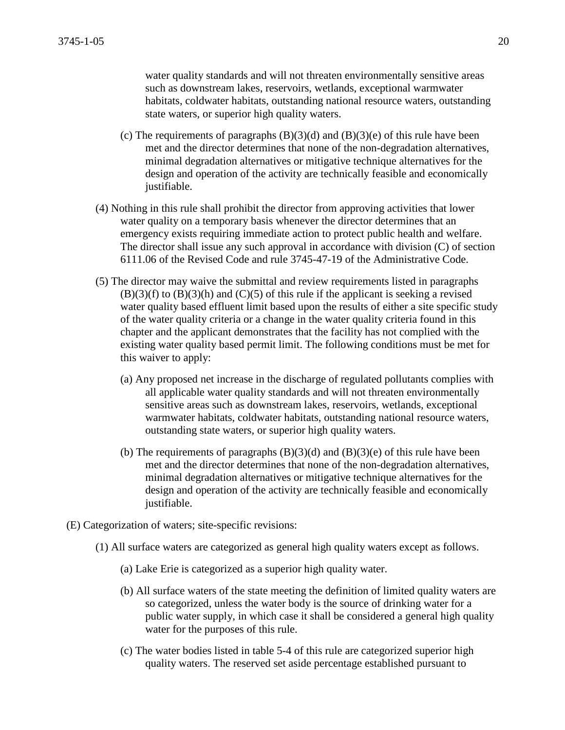water quality standards and will not threaten environmentally sensitive areas such as downstream lakes, reservoirs, wetlands, exceptional warmwater habitats, coldwater habitats, outstanding national resource waters, outstanding state waters, or superior high quality waters.

- (c) The requirements of paragraphs  $(B)(3)(d)$  and  $(B)(3)(e)$  of this rule have been met and the director determines that none of the non-degradation alternatives, minimal degradation alternatives or mitigative technique alternatives for the design and operation of the activity are technically feasible and economically justifiable.
- (4) Nothing in this rule shall prohibit the director from approving activities that lower water quality on a temporary basis whenever the director determines that an emergency exists requiring immediate action to protect public health and welfare. The director shall issue any such approval in accordance with division (C) of section 6111.06 of the Revised Code and rule 3745-47-19 of the Administrative Code.
- (5) The director may waive the submittal and review requirements listed in paragraphs  $(B)(3)(f)$  to  $(B)(3)(h)$  and  $(C)(5)$  of this rule if the applicant is seeking a revised water quality based effluent limit based upon the results of either a site specific study of the water quality criteria or a change in the water quality criteria found in this chapter and the applicant demonstrates that the facility has not complied with the existing water quality based permit limit. The following conditions must be met for this waiver to apply:
	- (a) Any proposed net increase in the discharge of regulated pollutants complies with all applicable water quality standards and will not threaten environmentally sensitive areas such as downstream lakes, reservoirs, wetlands, exceptional warmwater habitats, coldwater habitats, outstanding national resource waters, outstanding state waters, or superior high quality waters.
	- (b) The requirements of paragraphs  $(B)(3)(d)$  and  $(B)(3)(e)$  of this rule have been met and the director determines that none of the non-degradation alternatives, minimal degradation alternatives or mitigative technique alternatives for the design and operation of the activity are technically feasible and economically justifiable.
- (E) Categorization of waters; site-specific revisions:
	- (1) All surface waters are categorized as general high quality waters except as follows.
		- (a) Lake Erie is categorized as a superior high quality water.
		- (b) All surface waters of the state meeting the definition of limited quality waters are so categorized, unless the water body is the source of drinking water for a public water supply, in which case it shall be considered a general high quality water for the purposes of this rule.
		- (c) The water bodies listed in table 5-4 of this rule are categorized superior high quality waters. The reserved set aside percentage established pursuant to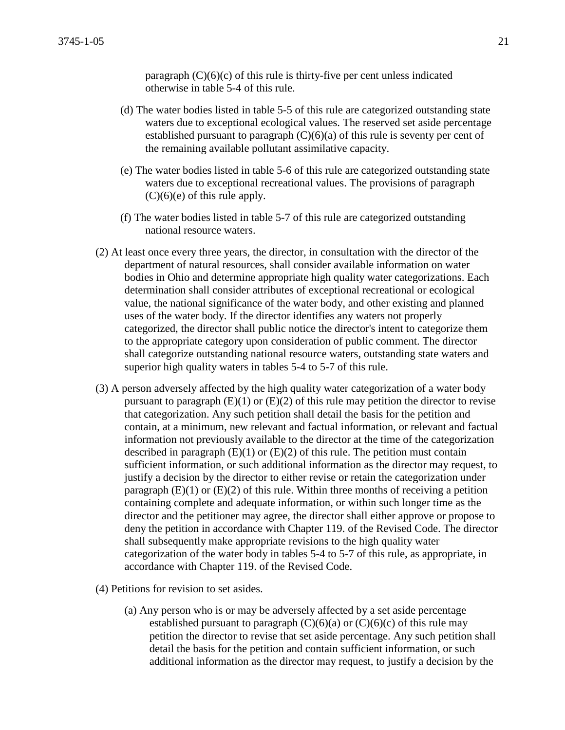paragraph  $(C)(6)(c)$  of this rule is thirty-five per cent unless indicated otherwise in table 5-4 of this rule.

- (d) The water bodies listed in table 5-5 of this rule are categorized outstanding state waters due to exceptional ecological values. The reserved set aside percentage established pursuant to paragraph  $(C)(6)(a)$  of this rule is seventy per cent of the remaining available pollutant assimilative capacity.
- (e) The water bodies listed in table 5-6 of this rule are categorized outstanding state waters due to exceptional recreational values. The provisions of paragraph  $(C)(6)(e)$  of this rule apply.
- (f) The water bodies listed in table 5-7 of this rule are categorized outstanding national resource waters.
- (2) At least once every three years, the director, in consultation with the director of the department of natural resources, shall consider available information on water bodies in Ohio and determine appropriate high quality water categorizations. Each determination shall consider attributes of exceptional recreational or ecological value, the national significance of the water body, and other existing and planned uses of the water body. If the director identifies any waters not properly categorized, the director shall public notice the director's intent to categorize them to the appropriate category upon consideration of public comment. The director shall categorize outstanding national resource waters, outstanding state waters and superior high quality waters in tables 5-4 to 5-7 of this rule.
- (3) A person adversely affected by the high quality water categorization of a water body pursuant to paragraph  $(E)(1)$  or  $(E)(2)$  of this rule may petition the director to revise that categorization. Any such petition shall detail the basis for the petition and contain, at a minimum, new relevant and factual information, or relevant and factual information not previously available to the director at the time of the categorization described in paragraph  $(E)(1)$  or  $(E)(2)$  of this rule. The petition must contain sufficient information, or such additional information as the director may request, to justify a decision by the director to either revise or retain the categorization under paragraph  $(E)(1)$  or  $(E)(2)$  of this rule. Within three months of receiving a petition containing complete and adequate information, or within such longer time as the director and the petitioner may agree, the director shall either approve or propose to deny the petition in accordance with Chapter 119. of the Revised Code. The director shall subsequently make appropriate revisions to the high quality water categorization of the water body in tables 5-4 to 5-7 of this rule, as appropriate, in accordance with Chapter 119. of the Revised Code.
- (4) Petitions for revision to set asides.
	- (a) Any person who is or may be adversely affected by a set aside percentage established pursuant to paragraph  $(C)(6)(a)$  or  $(C)(6)(c)$  of this rule may petition the director to revise that set aside percentage. Any such petition shall detail the basis for the petition and contain sufficient information, or such additional information as the director may request, to justify a decision by the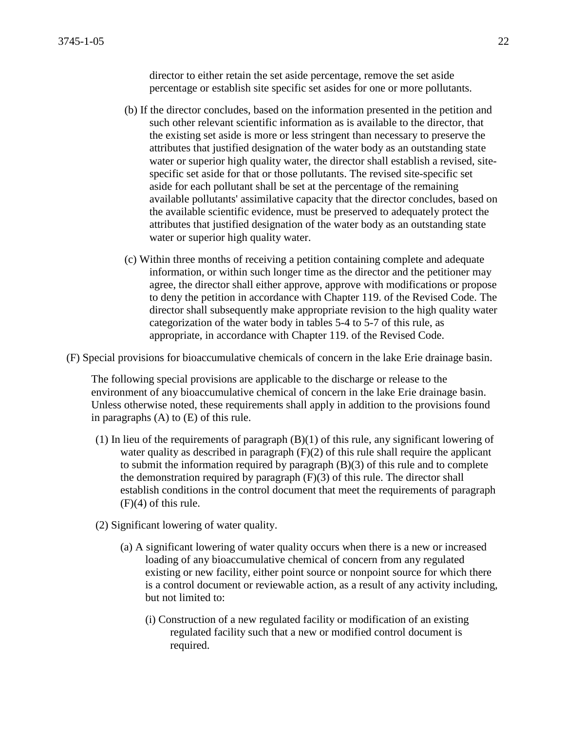director to either retain the set aside percentage, remove the set aside percentage or establish site specific set asides for one or more pollutants.

- (b) If the director concludes, based on the information presented in the petition and such other relevant scientific information as is available to the director, that the existing set aside is more or less stringent than necessary to preserve the attributes that justified designation of the water body as an outstanding state water or superior high quality water, the director shall establish a revised, sitespecific set aside for that or those pollutants. The revised site-specific set aside for each pollutant shall be set at the percentage of the remaining available pollutants' assimilative capacity that the director concludes, based on the available scientific evidence, must be preserved to adequately protect the attributes that justified designation of the water body as an outstanding state water or superior high quality water.
- (c) Within three months of receiving a petition containing complete and adequate information, or within such longer time as the director and the petitioner may agree, the director shall either approve, approve with modifications or propose to deny the petition in accordance with Chapter 119. of the Revised Code. The director shall subsequently make appropriate revision to the high quality water categorization of the water body in tables 5-4 to 5-7 of this rule, as appropriate, in accordance with Chapter 119. of the Revised Code.
- (F) Special provisions for bioaccumulative chemicals of concern in the lake Erie drainage basin.

The following special provisions are applicable to the discharge or release to the environment of any bioaccumulative chemical of concern in the lake Erie drainage basin. Unless otherwise noted, these requirements shall apply in addition to the provisions found in paragraphs (A) to (E) of this rule.

- (1) In lieu of the requirements of paragraph (B)(1) of this rule, any significant lowering of water quality as described in paragraph  $(F)(2)$  of this rule shall require the applicant to submit the information required by paragraph (B)(3) of this rule and to complete the demonstration required by paragraph  $(F)(3)$  of this rule. The director shall establish conditions in the control document that meet the requirements of paragraph  $(F)(4)$  of this rule.
- (2) Significant lowering of water quality.
	- (a) A significant lowering of water quality occurs when there is a new or increased loading of any bioaccumulative chemical of concern from any regulated existing or new facility, either point source or nonpoint source for which there is a control document or reviewable action, as a result of any activity including, but not limited to:
		- (i) Construction of a new regulated facility or modification of an existing regulated facility such that a new or modified control document is required.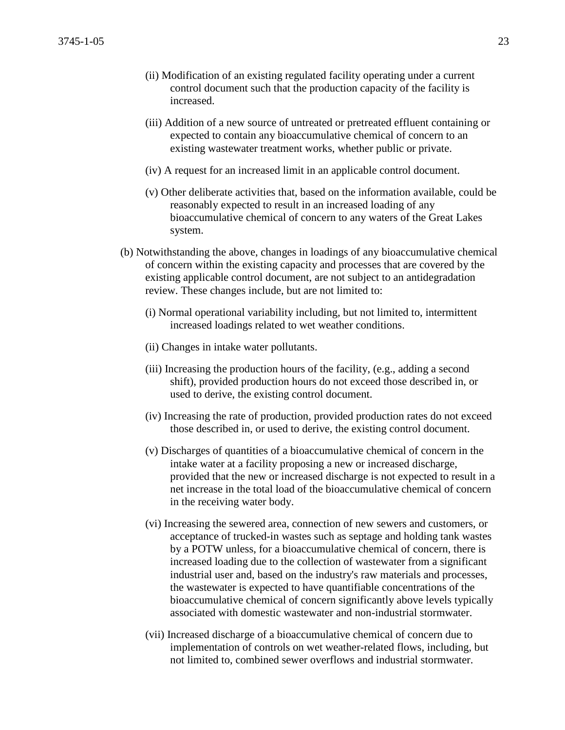- (ii) Modification of an existing regulated facility operating under a current control document such that the production capacity of the facility is increased.
- (iii) Addition of a new source of untreated or pretreated effluent containing or expected to contain any bioaccumulative chemical of concern to an existing wastewater treatment works, whether public or private.
- (iv) A request for an increased limit in an applicable control document.
- (v) Other deliberate activities that, based on the information available, could be reasonably expected to result in an increased loading of any bioaccumulative chemical of concern to any waters of the Great Lakes system.
- (b) Notwithstanding the above, changes in loadings of any bioaccumulative chemical of concern within the existing capacity and processes that are covered by the existing applicable control document, are not subject to an antidegradation review. These changes include, but are not limited to:
	- (i) Normal operational variability including, but not limited to, intermittent increased loadings related to wet weather conditions.
	- (ii) Changes in intake water pollutants.
	- (iii) Increasing the production hours of the facility, (e.g., adding a second shift), provided production hours do not exceed those described in, or used to derive, the existing control document.
	- (iv) Increasing the rate of production, provided production rates do not exceed those described in, or used to derive, the existing control document.
	- (v) Discharges of quantities of a bioaccumulative chemical of concern in the intake water at a facility proposing a new or increased discharge, provided that the new or increased discharge is not expected to result in a net increase in the total load of the bioaccumulative chemical of concern in the receiving water body.
	- (vi) Increasing the sewered area, connection of new sewers and customers, or acceptance of trucked-in wastes such as septage and holding tank wastes by a POTW unless, for a bioaccumulative chemical of concern, there is increased loading due to the collection of wastewater from a significant industrial user and, based on the industry's raw materials and processes, the wastewater is expected to have quantifiable concentrations of the bioaccumulative chemical of concern significantly above levels typically associated with domestic wastewater and non-industrial stormwater.
	- (vii) Increased discharge of a bioaccumulative chemical of concern due to implementation of controls on wet weather-related flows, including, but not limited to, combined sewer overflows and industrial stormwater.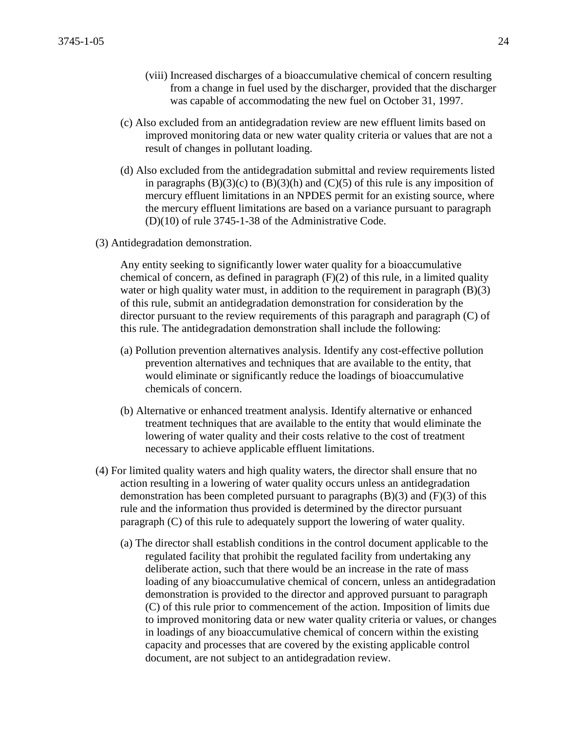- (viii) Increased discharges of a bioaccumulative chemical of concern resulting from a change in fuel used by the discharger, provided that the discharger was capable of accommodating the new fuel on October 31, 1997.
- (c) Also excluded from an antidegradation review are new effluent limits based on improved monitoring data or new water quality criteria or values that are not a result of changes in pollutant loading.
- (d) Also excluded from the antidegradation submittal and review requirements listed in paragraphs  $(B)(3)(c)$  to  $(B)(3)(h)$  and  $(C)(5)$  of this rule is any imposition of mercury effluent limitations in an NPDES permit for an existing source, where the mercury effluent limitations are based on a variance pursuant to paragraph (D)(10) of rule 3745-1-38 of the Administrative Code.
- (3) Antidegradation demonstration.

Any entity seeking to significantly lower water quality for a bioaccumulative chemical of concern, as defined in paragraph (F)(2) of this rule, in a limited quality water or high quality water must, in addition to the requirement in paragraph (B)(3) of this rule, submit an antidegradation demonstration for consideration by the director pursuant to the review requirements of this paragraph and paragraph (C) of this rule. The antidegradation demonstration shall include the following:

- (a) Pollution prevention alternatives analysis. Identify any cost-effective pollution prevention alternatives and techniques that are available to the entity, that would eliminate or significantly reduce the loadings of bioaccumulative chemicals of concern.
- (b) Alternative or enhanced treatment analysis. Identify alternative or enhanced treatment techniques that are available to the entity that would eliminate the lowering of water quality and their costs relative to the cost of treatment necessary to achieve applicable effluent limitations.
- (4) For limited quality waters and high quality waters, the director shall ensure that no action resulting in a lowering of water quality occurs unless an antidegradation demonstration has been completed pursuant to paragraphs  $(B)(3)$  and  $(F)(3)$  of this rule and the information thus provided is determined by the director pursuant paragraph (C) of this rule to adequately support the lowering of water quality.
	- (a) The director shall establish conditions in the control document applicable to the regulated facility that prohibit the regulated facility from undertaking any deliberate action, such that there would be an increase in the rate of mass loading of any bioaccumulative chemical of concern, unless an antidegradation demonstration is provided to the director and approved pursuant to paragraph (C) of this rule prior to commencement of the action. Imposition of limits due to improved monitoring data or new water quality criteria or values, or changes in loadings of any bioaccumulative chemical of concern within the existing capacity and processes that are covered by the existing applicable control document, are not subject to an antidegradation review.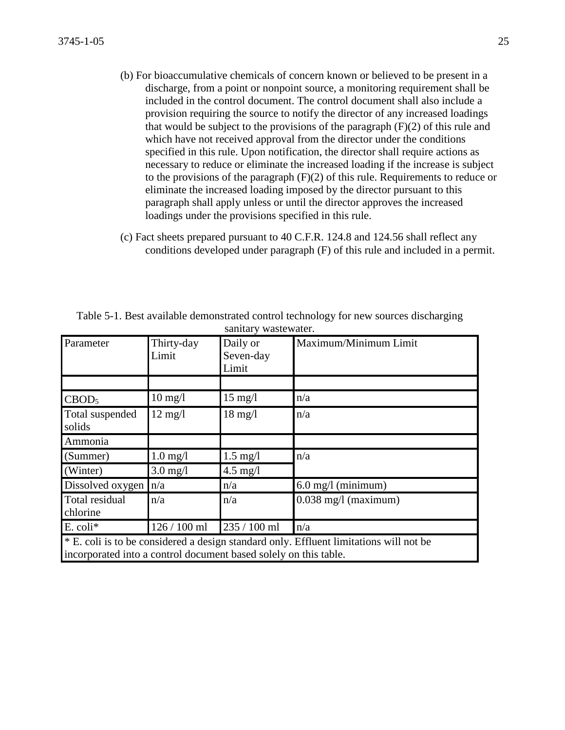- (b) For bioaccumulative chemicals of concern known or believed to be present in a discharge, from a point or nonpoint source, a monitoring requirement shall be included in the control document. The control document shall also include a provision requiring the source to notify the director of any increased loadings that would be subject to the provisions of the paragraph  $(F)(2)$  of this rule and which have not received approval from the director under the conditions specified in this rule. Upon notification, the director shall require actions as necessary to reduce or eliminate the increased loading if the increase is subject to the provisions of the paragraph (F)(2) of this rule. Requirements to reduce or eliminate the increased loading imposed by the director pursuant to this paragraph shall apply unless or until the director approves the increased loadings under the provisions specified in this rule.
- (c) Fact sheets prepared pursuant to 40 C.F.R. 124.8 and 124.56 shall reflect any conditions developed under paragraph (F) of this rule and included in a permit.

| Parameter                                                                                                                                                  | Thirty-day<br>Limit | Daily or<br>Seven-day<br>Limit | Maximum/Minimum Limit  |
|------------------------------------------------------------------------------------------------------------------------------------------------------------|---------------------|--------------------------------|------------------------|
|                                                                                                                                                            |                     |                                |                        |
| CBOD <sub>5</sub>                                                                                                                                          | $10 \text{ mg}/l$   | $15 \text{ mg/l}$              | n/a                    |
| Total suspended<br>solids                                                                                                                                  | $12 \text{ mg/l}$   | $18 \text{ mg}/l$              | n/a                    |
| Ammonia                                                                                                                                                    |                     |                                |                        |
| (Summer)                                                                                                                                                   | $1.0$ mg/l          | $1.5 \text{ mg/l}$             | n/a                    |
| (Winter)                                                                                                                                                   | $3.0$ mg/l          | $4.5$ mg/l                     |                        |
| Dissolved oxygen                                                                                                                                           | n/a                 | n/a                            | $6.0$ mg/l (minimum)   |
| Total residual<br>chlorine                                                                                                                                 | n/a                 | n/a                            | $0.038$ mg/l (maximum) |
| $E.$ coli $*$                                                                                                                                              | $126 / 100$ ml      | 235 / 100 ml                   | n/a                    |
| * E. coli is to be considered a design standard only. Effluent limitations will not be<br>incorporated into a control document based solely on this table. |                     |                                |                        |

Table 5-1. Best available demonstrated control technology for new sources discharging sanitary wastewater.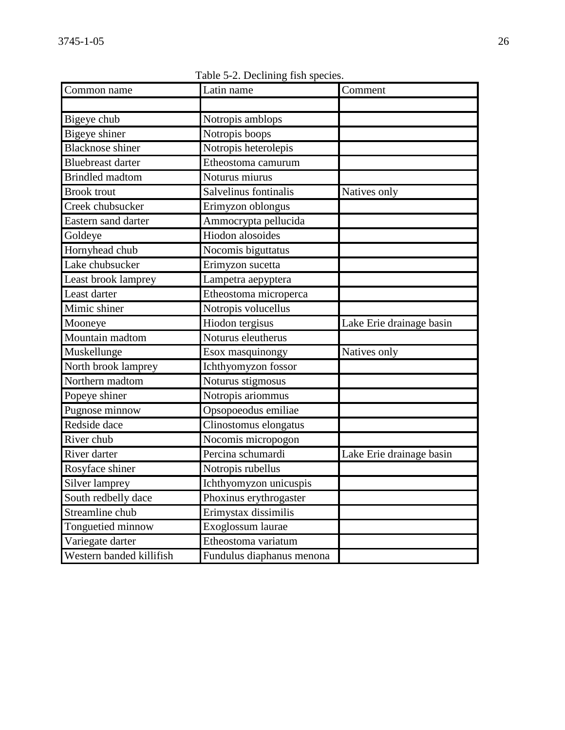Common name Latin name Comment Bigeye chub Notropis amblops Bigeye shiner Notropis boops Blacknose shiner Notropis heterolepis Bluebreast darter Etheostoma camurum Brindled madtom Noturus miurus Brook trout Salvelinus fontinalis Natives only Creek chubsucker Erimyzon oblongus Eastern sand darter **Ammocrypta pellucida** Goldeye Hiodon alosoides Hornyhead chub Nocomis biguttatus Lake chubsucker **Example Example 2** Erimyzon sucetta Least brook lamprey Lampetra aepyptera Least darter **Etheostoma** microperca Mimic shiner Notropis volucellus Mooneye Hiodon tergisus Lake Erie drainage basin Mountain madtom Noturus eleutherus Muskellunge Esox masquinongy Natives only North brook lamprey Ichthyomyzon fossor Northern madtom Noturus stigmosus Popeye shiner Notropis ariommus Pugnose minnow Opsopoeodus emiliae Redside dace **Clinostomus** elongatus River chub Nocomis micropogon River darter **Percina schumardi** Lake Erie drainage basin Rosyface shiner Notropis rubellus Silver lamprey Ichthyomyzon unicuspis South redbelly dace Phoxinus erythrogaster Streamline chub Erimystax dissimilis Tonguetied minnow Exoglossum laurae Variegate darter Etheostoma variatum Western banded killifish Fundulus diaphanus menona

Table 5-2. Declining fish species.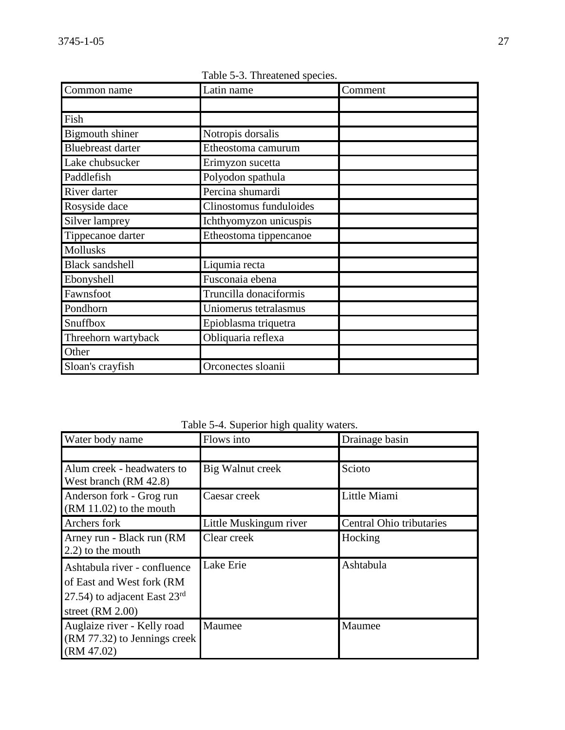| Common name              | Latin name              | Comment |
|--------------------------|-------------------------|---------|
|                          |                         |         |
| Fish                     |                         |         |
| <b>Bigmouth shiner</b>   | Notropis dorsalis       |         |
| <b>Bluebreast darter</b> | Etheostoma camurum      |         |
| Lake chubsucker          | Erimyzon sucetta        |         |
| Paddlefish               | Polyodon spathula       |         |
| River darter             | Percina shumardi        |         |
| Rosyside dace            | Clinostomus funduloides |         |
| Silver lamprey           | Ichthyomyzon unicuspis  |         |
| Tippecanoe darter        | Etheostoma tippencanoe  |         |
| <b>Mollusks</b>          |                         |         |
| <b>Black sandshell</b>   | Liqumia recta           |         |
| Ebonyshell               | Fusconaia ebena         |         |
| Fawnsfoot                | Truncilla donaciformis  |         |
| Pondhorn                 | Uniomerus tetralasmus   |         |
| Snuffbox                 | Epioblasma triquetra    |         |
| Threehorn wartyback      | Obliquaria reflexa      |         |
| Other                    |                         |         |
| Sloan's crayfish         | Orconectes sloanii      |         |

Table 5-3. Threatened species.

Table 5-4. Superior high quality waters.

| Water body name                                                                                                             | Flows into             | Drainage basin           |
|-----------------------------------------------------------------------------------------------------------------------------|------------------------|--------------------------|
|                                                                                                                             |                        |                          |
| Alum creek - headwaters to<br>West branch (RM 42.8)                                                                         | Big Walnut creek       | Scioto                   |
| Anderson fork - Grog run<br>$(RM 11.02)$ to the mouth                                                                       | Caesar creek           | Little Miami             |
| Archers fork                                                                                                                | Little Muskingum river | Central Ohio tributaries |
| Arney run - Black run (RM<br>2.2) to the mouth                                                                              | Clear creek            | Hocking                  |
| Ashtabula river - confluence<br>of East and West fork (RM<br>27.54) to adjacent East $23^{\text{rd}}$<br>street $(RM 2.00)$ | Lake Erie              | Ashtabula                |
| Auglaize river - Kelly road<br>(RM 77.32) to Jennings creek<br>(RM 47.02)                                                   | Maumee                 | Maumee                   |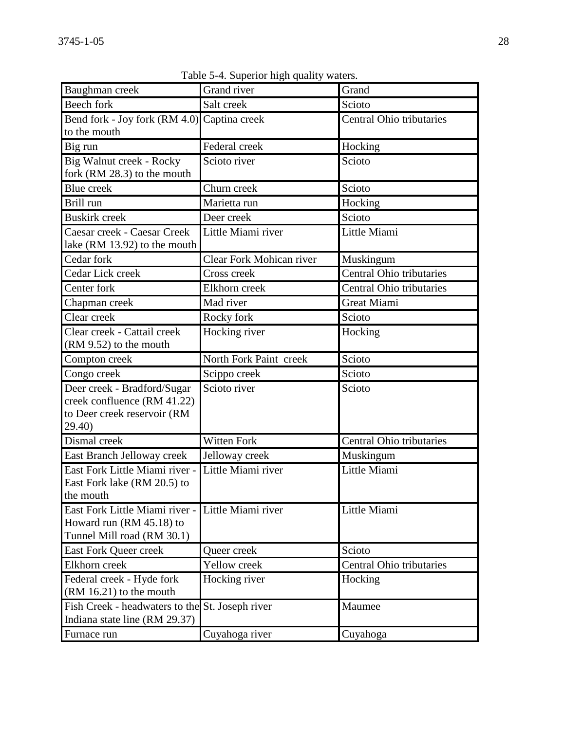| Baughman creek                                                                                      | Grand river              | Grand                    |
|-----------------------------------------------------------------------------------------------------|--------------------------|--------------------------|
| Beech fork                                                                                          | Salt creek               | Scioto                   |
| Bend fork - Joy fork (RM 4.0) Captina creek                                                         |                          | Central Ohio tributaries |
| to the mouth                                                                                        |                          |                          |
| Big run                                                                                             | Federal creek            | Hocking                  |
| Big Walnut creek - Rocky                                                                            | Scioto river             | Scioto                   |
| fork (RM 28.3) to the mouth                                                                         |                          |                          |
| <b>Blue</b> creek                                                                                   | Churn creek              | Scioto                   |
| Brill run                                                                                           | Marietta run             | Hocking                  |
| <b>Buskirk</b> creek                                                                                | Deer creek               | Scioto                   |
| Caesar creek - Caesar Creek<br>lake (RM 13.92) to the mouth                                         | Little Miami river       | Little Miami             |
| Cedar fork                                                                                          | Clear Fork Mohican river | Muskingum                |
| Cedar Lick creek                                                                                    | Cross creek              | Central Ohio tributaries |
| Center fork                                                                                         | Elkhorn creek            | Central Ohio tributaries |
| Chapman creek                                                                                       | Mad river                | Great Miami              |
| Clear creek                                                                                         | Rocky fork               | Scioto                   |
| Clear creek - Cattail creek<br>(RM 9.52) to the mouth                                               | Hocking river            | Hocking                  |
| Compton creek                                                                                       | North Fork Paint creek   | Scioto                   |
| Congo creek                                                                                         | Scippo creek             | Scioto                   |
| Deer creek - Bradford/Sugar<br>creek confluence (RM 41.22)<br>to Deer creek reservoir (RM<br>29.40) | Scioto river             | Scioto                   |
| Dismal creek                                                                                        | <b>Witten Fork</b>       | Central Ohio tributaries |
| East Branch Jelloway creek                                                                          | Jelloway creek           | Muskingum                |
| East Fork Little Miami river -<br>East Fork lake (RM 20.5) to<br>the mouth                          | Little Miami river       | Little Miami             |
| East Fork Little Miami river -<br>Howard run (RM 45.18) to<br>Tunnel Mill road (RM 30.1)            | Little Miami river       | Little Miami             |
| <b>East Fork Queer creek</b>                                                                        | Queer creek              | Scioto                   |
| Elkhorn creek                                                                                       | Yellow creek             | Central Ohio tributaries |
| Federal creek - Hyde fork<br>$(RM 16.21)$ to the mouth                                              | Hocking river            | Hocking                  |
| Fish Creek - headwaters to the<br>Indiana state line (RM 29.37)                                     | St. Joseph river         | Maumee                   |
| Furnace run                                                                                         | Cuyahoga river           | Cuyahoga                 |

Table 5-4. Superior high quality waters.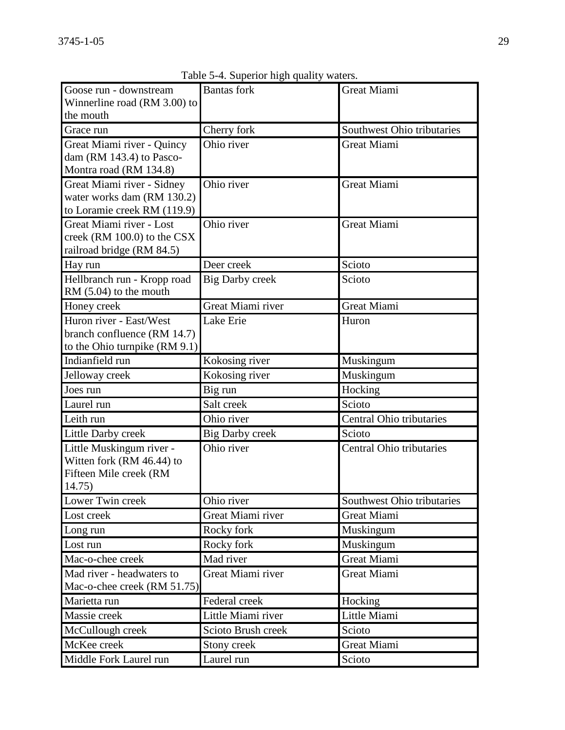| Goose run - downstream<br>Winnerline road (RM 3.00) to<br>the mouth                       | <b>Bantas</b> fork     | <b>Great Miami</b>              |
|-------------------------------------------------------------------------------------------|------------------------|---------------------------------|
| Grace run                                                                                 | Cherry fork            | Southwest Ohio tributaries      |
| Great Miami river - Quincy<br>dam (RM 143.4) to Pasco-<br>Montra road (RM 134.8)          | Ohio river             | <b>Great Miami</b>              |
| Great Miami river - Sidney<br>water works dam (RM 130.2)<br>to Loramie creek RM (119.9)   | Ohio river             | <b>Great Miami</b>              |
| Great Miami river - Lost<br>creek (RM 100.0) to the CSX<br>railroad bridge (RM 84.5)      | Ohio river             | <b>Great Miami</b>              |
| Hay run                                                                                   | Deer creek             | Scioto                          |
| Hellbranch run - Kropp road<br>RM $(5.04)$ to the mouth                                   | <b>Big Darby creek</b> | Scioto                          |
| Honey creek                                                                               | Great Miami river      | <b>Great Miami</b>              |
| Huron river - East/West<br>branch confluence (RM 14.7)<br>to the Ohio turnpike $(RM 9.1)$ | Lake Erie              | Huron                           |
| Indianfield run                                                                           | Kokosing river         | Muskingum                       |
| Jelloway creek                                                                            | Kokosing river         | Muskingum                       |
| Joes run                                                                                  | Big run                | Hocking                         |
| Laurel run                                                                                | Salt creek             | Scioto                          |
| Leith run                                                                                 | Ohio river             | Central Ohio tributaries        |
| <b>Little Darby creek</b>                                                                 | <b>Big Darby creek</b> | Scioto                          |
| Little Muskingum river -<br>Witten fork (RM 46.44) to<br>Fifteen Mile creek (RM<br>14.75) | Ohio river             | <b>Central Ohio tributaries</b> |
| Lower Twin creek                                                                          | Ohio river             | Southwest Ohio tributaries      |
| Lost creek                                                                                | Great Miami river      | Great Miami                     |
| Long run                                                                                  | Rocky fork             | Muskingum                       |
| Lost run                                                                                  | Rocky fork             | Muskingum                       |
| Mac-o-chee creek                                                                          | Mad river              | <b>Great Miami</b>              |
| Mad river - headwaters to<br>Mac-o-chee creek (RM 51.75)                                  | Great Miami river      | <b>Great Miami</b>              |
| Marietta run                                                                              | Federal creek          | Hocking                         |
| Massie creek                                                                              | Little Miami river     | Little Miami                    |
| McCullough creek                                                                          | Scioto Brush creek     | Scioto                          |
| McKee creek                                                                               | Stony creek            | Great Miami                     |
| Middle Fork Laurel run                                                                    | Laurel run             | Scioto                          |

Table 5-4. Superior high quality waters.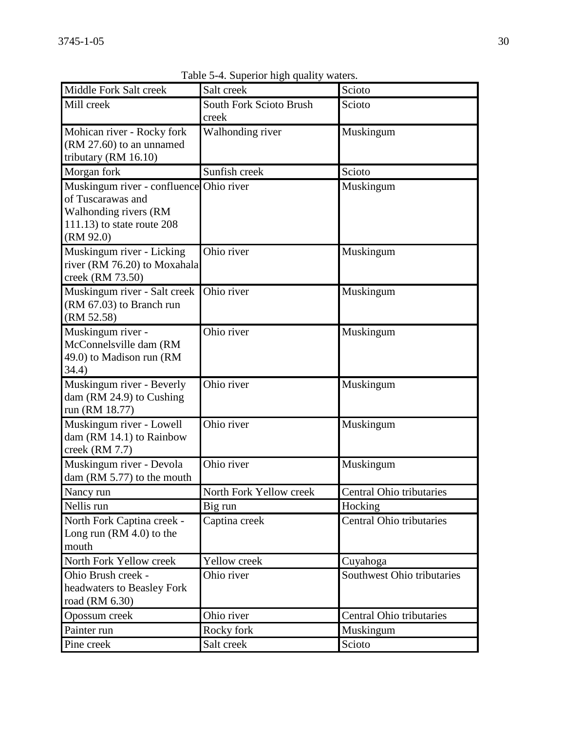| Middle Fork Salt creek                                                                                                              | Salt creek                              | Scioto                     |
|-------------------------------------------------------------------------------------------------------------------------------------|-----------------------------------------|----------------------------|
| Mill creek                                                                                                                          | <b>South Fork Scioto Brush</b><br>creek | Scioto                     |
| Mohican river - Rocky fork<br>(RM 27.60) to an unnamed<br>tributary (RM 16.10)                                                      | Walhonding river                        | Muskingum                  |
| Morgan fork                                                                                                                         | Sunfish creek                           | Scioto                     |
| Muskingum river - confluence Ohio river<br>of Tuscarawas and<br>Walhonding rivers (RM<br>$111.13$ ) to state route 208<br>(RM 92.0) |                                         | Muskingum                  |
| Muskingum river - Licking<br>river (RM 76.20) to Moxahala<br>creek (RM 73.50)                                                       | Ohio river                              | Muskingum                  |
| Muskingum river - Salt creek<br>(RM 67.03) to Branch run<br>(RM 52.58)                                                              | Ohio river                              | Muskingum                  |
| Muskingum river -<br>McConnelsville dam (RM<br>49.0) to Madison run (RM<br>34.4)                                                    | Ohio river                              | Muskingum                  |
| Muskingum river - Beverly<br>dam (RM 24.9) to Cushing<br>run (RM 18.77)                                                             | Ohio river                              | Muskingum                  |
| Muskingum river - Lowell<br>dam (RM 14.1) to Rainbow<br>creek (RM 7.7)                                                              | Ohio river                              | Muskingum                  |
| Muskingum river - Devola<br>dam (RM 5.77) to the mouth                                                                              | Ohio river                              | Muskingum                  |
| Nancy run                                                                                                                           | North Fork Yellow creek                 | Central Ohio tributaries   |
| Nellis run                                                                                                                          | Big run                                 | Hocking                    |
| North Fork Captina creek -<br>Long run $(RM 4.0)$ to the<br>mouth                                                                   | Captina creek                           | Central Ohio tributaries   |
| North Fork Yellow creek                                                                                                             | Yellow creek                            | Cuyahoga                   |
| Ohio Brush creek -<br>headwaters to Beasley Fork<br>road (RM 6.30)                                                                  | Ohio river                              | Southwest Ohio tributaries |
| Opossum creek                                                                                                                       | Ohio river                              | Central Ohio tributaries   |
| Painter run                                                                                                                         | Rocky fork                              | Muskingum                  |
| Pine creek                                                                                                                          | Salt creek                              | Scioto                     |

Table 5-4. Superior high quality waters.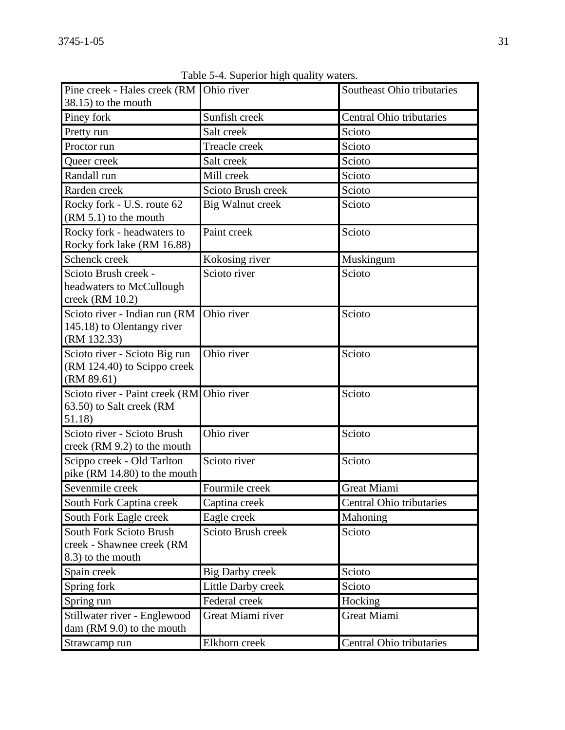| Pine creek - Hales creek (RM Ohio river<br>38.15) to the mouth                   |                         | Southeast Ohio tributaries |
|----------------------------------------------------------------------------------|-------------------------|----------------------------|
| Piney fork                                                                       | Sunfish creek           | Central Ohio tributaries   |
| Pretty run                                                                       | Salt creek              | Scioto                     |
| Proctor run                                                                      | Treacle creek           | Scioto                     |
| Queer creek                                                                      | Salt creek              | Scioto                     |
| Randall run                                                                      | Mill creek              | Scioto                     |
| Rarden creek                                                                     | Scioto Brush creek      | Scioto                     |
| Rocky fork - U.S. route 62<br>$(RM 5.1)$ to the mouth                            | <b>Big Walnut creek</b> | Scioto                     |
| Rocky fork - headwaters to<br>Rocky fork lake (RM 16.88)                         | Paint creek             | Scioto                     |
| Schenck creek                                                                    | Kokosing river          | Muskingum                  |
| Scioto Brush creek -<br>headwaters to McCullough<br>creek (RM 10.2)              | Scioto river            | Scioto                     |
| Scioto river - Indian run (RM<br>145.18) to Olentangy river<br>(RM 132.33)       | Ohio river              | Scioto                     |
| Scioto river - Scioto Big run<br>(RM 124.40) to Scippo creek<br>(RM 89.61)       | Ohio river              | Scioto                     |
| Scioto river - Paint creek (RM Ohio river<br>63.50) to Salt creek (RM<br>51.18)  |                         | Scioto                     |
| Scioto river - Scioto Brush<br>creek (RM 9.2) to the mouth                       | Ohio river              | Scioto                     |
| Scippo creek - Old Tarlton<br>pike (RM 14.80) to the mouth                       | Scioto river            | Scioto                     |
| Sevenmile creek                                                                  | Fourmile creek          | <b>Great Miami</b>         |
| South Fork Captina creek                                                         | Captina creek           | Central Ohio tributaries   |
| South Fork Eagle creek                                                           | Eagle creek             | Mahoning                   |
| <b>South Fork Scioto Brush</b><br>creek - Shawnee creek (RM<br>8.3) to the mouth | Scioto Brush creek      | Scioto                     |
| Spain creek                                                                      | <b>Big Darby creek</b>  | Scioto                     |
| Spring fork                                                                      | Little Darby creek      | Scioto                     |
| Spring run                                                                       | Federal creek           | Hocking                    |
| Stillwater river - Englewood<br>dam (RM 9.0) to the mouth                        | Great Miami river       | <b>Great Miami</b>         |
| Strawcamp run                                                                    | Elkhorn creek           | Central Ohio tributaries   |

Table 5-4. Superior high quality waters.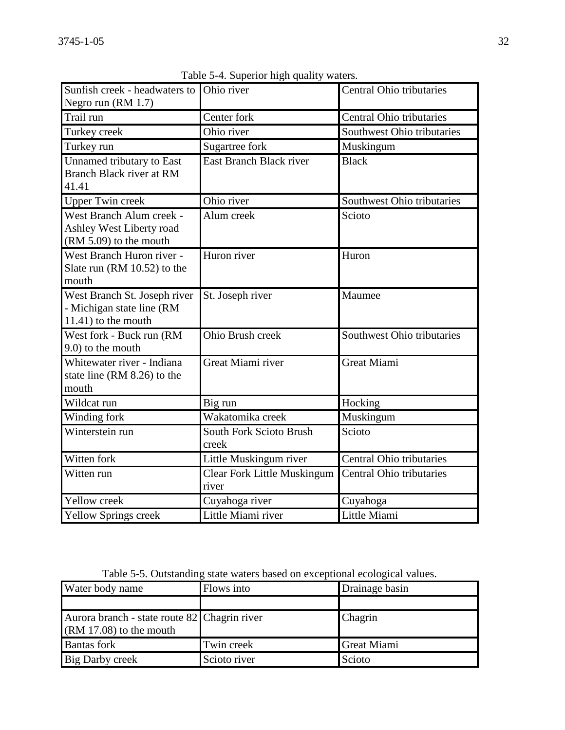| Sunfish creek - headwaters to<br>Negro run (RM 1.7)                                 | Ohio river                                  | Central Ohio tributaries        |
|-------------------------------------------------------------------------------------|---------------------------------------------|---------------------------------|
| Trail run                                                                           | Center fork                                 | <b>Central Ohio tributaries</b> |
| Turkey creek                                                                        | Ohio river                                  | Southwest Ohio tributaries      |
| Turkey run                                                                          | Sugartree fork                              | Muskingum                       |
| <b>Unnamed tributary to East</b><br>Branch Black river at RM<br>41.41               | <b>East Branch Black river</b>              | <b>Black</b>                    |
| <b>Upper Twin creek</b>                                                             | Ohio river                                  | Southwest Ohio tributaries      |
| West Branch Alum creek -<br>Ashley West Liberty road<br>(RM 5.09) to the mouth      | Alum creek                                  | Scioto                          |
| West Branch Huron river -<br>Slate run (RM 10.52) to the<br>mouth                   | Huron river                                 | Huron                           |
| West Branch St. Joseph river<br>- Michigan state line (RM<br>$11.41$ ) to the mouth | St. Joseph river                            | Maumee                          |
| West fork - Buck run (RM<br>9.0) to the mouth                                       | Ohio Brush creek                            | Southwest Ohio tributaries      |
| Whitewater river - Indiana<br>state line (RM 8.26) to the<br>mouth                  | Great Miami river                           | <b>Great Miami</b>              |
| Wildcat run                                                                         | Big run                                     | Hocking                         |
| Winding fork                                                                        | Wakatomika creek                            | Muskingum                       |
| Winterstein run                                                                     | South Fork Scioto Brush<br>creek            | Scioto                          |
| Witten fork                                                                         | Little Muskingum river                      | <b>Central Ohio tributaries</b> |
| Witten run                                                                          | <b>Clear Fork Little Muskingum</b><br>river | <b>Central Ohio tributaries</b> |
| Yellow creek                                                                        | Cuyahoga river                              | Cuyahoga                        |
| <b>Yellow Springs creek</b>                                                         | Little Miami river                          | Little Miami                    |

Table 5-4. Superior high quality waters.

Table 5-5. Outstanding state waters based on exceptional ecological values.

| Water body name                                                           | Flows into   | Drainage basin     |
|---------------------------------------------------------------------------|--------------|--------------------|
|                                                                           |              |                    |
| Aurora branch - state route 82 Chagrin river<br>$(RM 17.08)$ to the mouth |              | Chagrin            |
| <b>Bantas</b> fork                                                        | Twin creek   | <b>Great Miami</b> |
| Big Darby creek                                                           | Scioto river | Scioto             |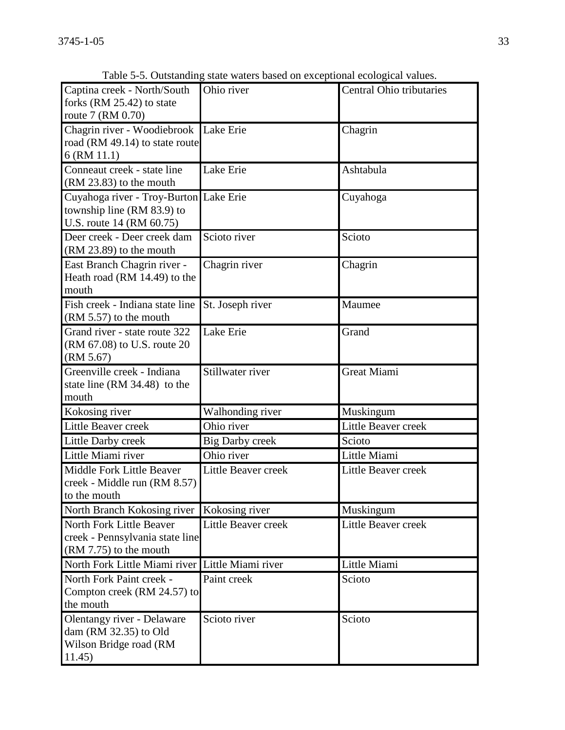| Captina creek - North/South<br>forks (RM 25.42) to state                                          | Ohio river             | Central Ohio tributaries |
|---------------------------------------------------------------------------------------------------|------------------------|--------------------------|
| route 7 (RM 0.70)<br>Chagrin river - Woodiebrook<br>road (RM 49.14) to state route<br>6 (RM 11.1) | Lake Erie              | Chagrin                  |
| Conneaut creek - state line<br>$(RM 23.83)$ to the mouth                                          | Lake Erie              | Ashtabula                |
| Cuyahoga river - Troy-Burton Lake Erie<br>township line (RM 83.9) to<br>U.S. route 14 (RM 60.75)  |                        | Cuyahoga                 |
| Deer creek - Deer creek dam<br>$(RM 23.89)$ to the mouth                                          | Scioto river           | Scioto                   |
| East Branch Chagrin river -<br>Heath road (RM 14.49) to the<br>mouth                              | Chagrin river          | Chagrin                  |
| Fish creek - Indiana state line<br>$(RM 5.57)$ to the mouth                                       | St. Joseph river       | Maumee                   |
| Grand river - state route 322<br>(RM 67.08) to U.S. route 20<br>(RM 5.67)                         | Lake Erie              | Grand                    |
| Greenville creek - Indiana<br>state line (RM 34.48) to the<br>mouth                               | Stillwater river       | <b>Great Miami</b>       |
| Kokosing river                                                                                    | Walhonding river       | Muskingum                |
| Little Beaver creek                                                                               | Ohio river             | Little Beaver creek      |
| Little Darby creek                                                                                | <b>Big Darby creek</b> | Scioto                   |
| Little Miami river                                                                                | Ohio river             | Little Miami             |
| Middle Fork Little Beaver<br>creek - Middle run (RM 8.57)<br>to the mouth                         | Little Beaver creek    | Little Beaver creek      |
| North Branch Kokosing river                                                                       | Kokosing river         | Muskingum                |
| North Fork Little Beaver<br>creek - Pennsylvania state line<br>$(RM 7.75)$ to the mouth           | Little Beaver creek    | Little Beaver creek      |
| North Fork Little Miami river Little Miami river                                                  |                        | Little Miami             |
| North Fork Paint creek -<br>Compton creek (RM 24.57) to<br>the mouth                              | Paint creek            | Scioto                   |
| Olentangy river - Delaware<br>dam (RM 32.35) to Old<br>Wilson Bridge road (RM<br>11.45)           | Scioto river           | Scioto                   |

Table 5-5. Outstanding state waters based on exceptional ecological values.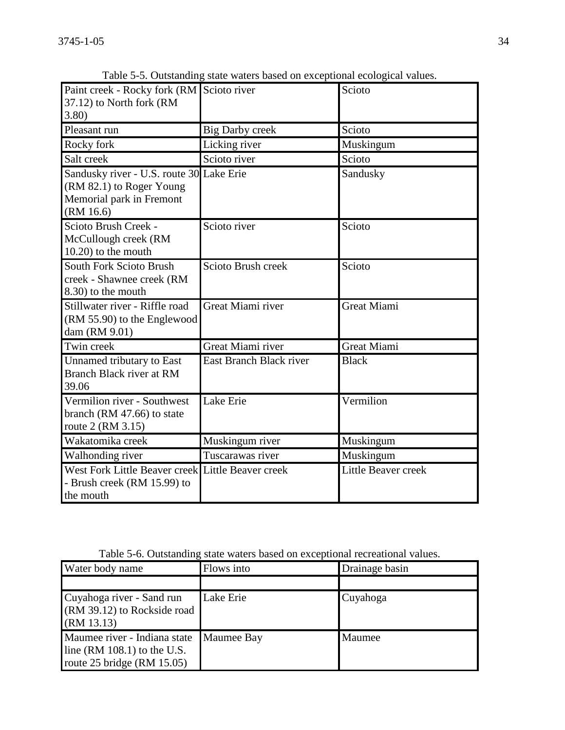| Paint creek - Rocky fork (RM<br>37.12) to North fork (RM<br>3.80                                              | Scioto river            | Scioto              |
|---------------------------------------------------------------------------------------------------------------|-------------------------|---------------------|
| Pleasant run                                                                                                  | <b>Big Darby creek</b>  | Scioto              |
| Rocky fork                                                                                                    | Licking river           | Muskingum           |
| Salt creek                                                                                                    | Scioto river            | Scioto              |
| Sandusky river - U.S. route 30 Lake Erie<br>(RM 82.1) to Roger Young<br>Memorial park in Fremont<br>(RM 16.6) |                         | Sandusky            |
| Scioto Brush Creek -<br>McCullough creek (RM<br>$10.20$ ) to the mouth                                        | Scioto river            | Scioto              |
| South Fork Scioto Brush<br>creek - Shawnee creek (RM<br>8.30) to the mouth                                    | Scioto Brush creek      | Scioto              |
| Stillwater river - Riffle road<br>(RM 55.90) to the Englewood<br>dam (RM 9.01)                                | Great Miami river       | <b>Great Miami</b>  |
| Twin creek                                                                                                    | Great Miami river       | <b>Great Miami</b>  |
| Unnamed tributary to East<br>Branch Black river at RM<br>39.06                                                | East Branch Black river | <b>Black</b>        |
| Vermilion river - Southwest<br>branch (RM $47.66$ ) to state<br>route 2 (RM 3.15)                             | Lake Erie               | Vermilion           |
| Wakatomika creek                                                                                              | Muskingum river         | Muskingum           |
| Walhonding river                                                                                              | Tuscarawas river        | Muskingum           |
| West Fork Little Beaver creek<br>- Brush creek (RM 15.99) to<br>the mouth                                     | Little Beaver creek     | Little Beaver creek |

Table 5-5. Outstanding state waters based on exceptional ecological values.

| Table 5-6. Outstanding state waters based on exceptional recreational values. |  |  |  |  |
|-------------------------------------------------------------------------------|--|--|--|--|
|-------------------------------------------------------------------------------|--|--|--|--|

| Water body name                                                                                  | Flows into        | Drainage basin |
|--------------------------------------------------------------------------------------------------|-------------------|----------------|
|                                                                                                  |                   |                |
| Cuyahoga river - Sand run<br>(RM 39.12) to Rockside road<br>(RM 13.13)                           | Lake Erie         | Cuyahoga       |
| Maumee river - Indiana state<br>line $(RM 108.1)$ to the U.S.<br>route $25$ bridge (RM $15.05$ ) | <b>Maumee Bay</b> | Maumee         |